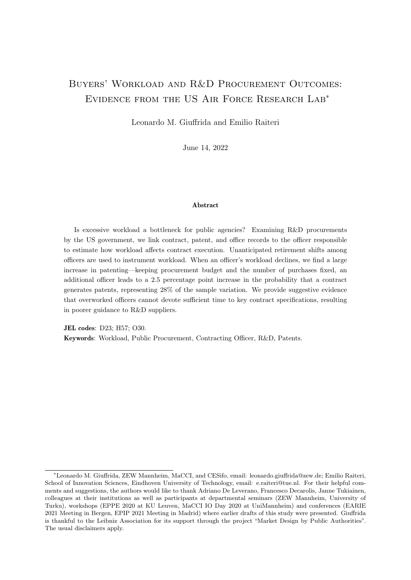## Buyers' Workload and R&D Procurement Outcomes: Evidence from the US Air Force Research Lab<sup>∗</sup>

Leonardo M. Giuffrida and Emilio Raiteri

June 14, 2022

#### Abstract

Is excessive workload a bottleneck for public agencies? Examining R&D procurements by the US government, we link contract, patent, and office records to the officer responsible to estimate how workload affects contract execution. Unanticipated retirement shifts among officers are used to instrument workload. When an officer's workload declines, we find a large increase in patenting—keeping procurement budget and the number of purchases fixed, an additional officer leads to a 2.5 percentage point increase in the probability that a contract generates patents, representing 28% of the sample variation. We provide suggestive evidence that overworked officers cannot devote sufficient time to key contract specifications, resulting in poorer guidance to R&D suppliers.

JEL codes: D23; H57; O30. Keywords: Workload, Public Procurement, Contracting Officer, R&D, Patents.

<sup>∗</sup>Leonardo M. Giuffrida, ZEW Mannheim, MaCCI, and CESifo, email: leonardo.giuffrida@zew.de; Emilio Raiteri, School of Innovation Sciences, Eindhoven University of Technology, email: e.raiteri@tue.nl. For their helpful comments and suggestions, the authors would like to thank Adriano De Leverano, Francesco Decarolis, Janne Tukiainen, colleagues at their institutions as well as participants at departmental seminars (ZEW Mannheim, University of Turku), workshops (EPPE 2020 at KU Leuven, MaCCI IO Day 2020 at UniMannheim) and conferences (EARIE 2021 Meeting in Bergen, EPIP 2021 Meeting in Madrid) where earlier drafts of this study were presented. Giuffrida is thankful to the Leibniz Association for its support through the project "Market Design by Public Authorities". The usual disclaimers apply.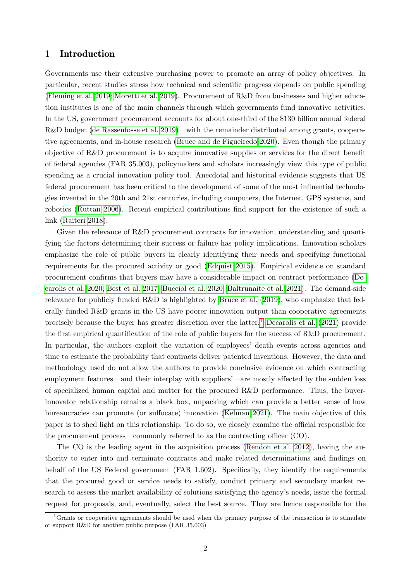## 1 Introduction

Governments use their extensive purchasing power to promote an array of policy objectives. In particular, recent studies stress how technical and scientific progress depends on public spending [\(Fleming et al. 2019;](#page-33-0) [Moretti et al. 2019\)](#page-34-0). Procurement of R&D from businesses and higher education institutes is one of the main channels through which governments fund innovative activities. In the US, government procurement accounts for about one-third of the \$130 billion annual federal R&D budget [\(de Rassenfosse et al. 2019\)](#page-33-1)—with the remainder distributed among grants, cooperative agreements, and in-house research [\(Bruce and de Figueiredo 2020\)](#page-32-0). Even though the primary objective of R&D procurement is to acquire innovative supplies or services for the direct benefit of federal agencies (FAR 35.003), policymakers and scholars increasingly view this type of public spending as a crucial innovation policy tool. Anecdotal and historical evidence suggests that US federal procurement has been critical to the development of some of the most influential technologies invented in the 20th and 21st centuries, including computers, the Internet, GPS systems, and robotics [\(Ruttan 2006\)](#page-35-0). Recent empirical contributions find support for the existence of such a link [\(Raiteri 2018\)](#page-34-1).

Given the relevance of R&D procurement contracts for innovation, understanding and quantifying the factors determining their success or failure has policy implications. Innovation scholars emphasize the role of public buyers in clearly identifying their needs and specifying functional requirements for the procured activity or good [\(Edquist 2015\)](#page-33-2). Empirical evidence on standard procurement confirms that buyers may have a considerable impact on contract performance [\(De](#page-33-3)[carolis et al. 2020;](#page-33-3) [Best et al. 2017;](#page-32-1) [Bucciol et al. 2020;](#page-33-4) [Baltrunaite et al. 2021\)](#page-32-2). The demand-side relevance for publicly funded  $R\&D$  is highlighted by [Bruce et al.](#page-32-3) [\(2019\)](#page-32-3), who emphasize that federally funded R&D grants in the US have poorer innovation output than cooperative agreements precisely because the buyer has greater discretion over the latter.<sup>[1](#page-1-0)</sup> [Decarolis et al.](#page-33-5) [\(2021\)](#page-33-5) provide the first empirical quantification of the role of public buyers for the success of R&D procurement. In particular, the authors exploit the variation of employees' death events across agencies and time to estimate the probability that contracts deliver patented inventions. However, the data and methodology used do not allow the authors to provide conclusive evidence on which contracting employment features—and their interplay with suppliers'—are mostly affected by the sudden loss of specialized human capital and matter for the procured R&D performance. Thus, the buyerinnovator relationship remains a black box, unpacking which can provide a better sense of how bureaucracies can promote (or suffocate) innovation [\(Kelman 2021\)](#page-34-2). The main objective of this paper is to shed light on this relationship. To do so, we closely examine the official responsible for the procurement process—commonly referred to as the contracting officer (CO).

The CO is the leading agent in the acquisition process [\(Rendon et al. 2012\)](#page-35-1), having the authority to enter into and terminate contracts and make related determinations and findings on behalf of the US Federal government (FAR 1.602). Specifically, they identify the requirements that the procured good or service needs to satisfy, conduct primary and secondary market research to assess the market availability of solutions satisfying the agency's needs, issue the formal request for proposals, and, eventually, select the best source. They are hence responsible for the

<span id="page-1-0"></span> $1<sup>1</sup>$ Grants or cooperative agreements should be used when the primary purpose of the transaction is to stimulate or support R&D for another public purpose (FAR 35.003)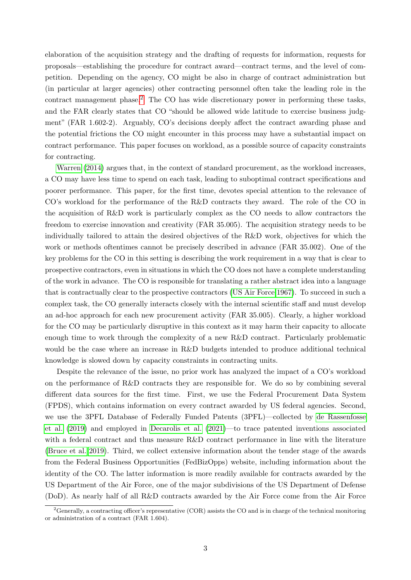elaboration of the acquisition strategy and the drafting of requests for information, requests for proposals—establishing the procedure for contract award—contract terms, and the level of competition. Depending on the agency, CO might be also in charge of contract administration but (in particular at larger agencies) other contracting personnel often take the leading role in the contract management phase.<sup>[2](#page-2-0)</sup> The CO has wide discretionary power in performing these tasks, and the FAR clearly states that CO "should be allowed wide latitude to exercise business judgment" (FAR 1.602-2). Arguably, CO's decisions deeply affect the contract awarding phase and the potential frictions the CO might encounter in this process may have a substantial impact on contract performance. This paper focuses on workload, as a possible source of capacity constraints for contracting.

[Warren](#page-35-2) [\(2014\)](#page-35-2) argues that, in the context of standard procurement, as the workload increases, a CO may have less time to spend on each task, leading to suboptimal contract specifications and poorer performance. This paper, for the first time, devotes special attention to the relevance of CO's workload for the performance of the R&D contracts they award. The role of the CO in the acquisition of R&D work is particularly complex as the CO needs to allow contractors the freedom to exercise innovation and creativity (FAR 35.005). The acquisition strategy needs to be individually tailored to attain the desired objectives of the R&D work, objectives for which the work or methods oftentimes cannot be precisely described in advance (FAR 35.002). One of the key problems for the CO in this setting is describing the work requirement in a way that is clear to prospective contractors, even in situations in which the CO does not have a complete understanding of the work in advance. The CO is responsible for translating a rather abstract idea into a language that is contractually clear to the prospective contractors [\(US Air Force 1967\)](#page-35-3). To succeed in such a complex task, the CO generally interacts closely with the internal scientific staff and must develop an ad-hoc approach for each new procurement activity (FAR 35.005). Clearly, a higher workload for the CO may be particularly disruptive in this context as it may harm their capacity to allocate enough time to work through the complexity of a new R&D contract. Particularly problematic would be the case where an increase in R&D budgets intended to produce additional technical knowledge is slowed down by capacity constraints in contracting units.

Despite the relevance of the issue, no prior work has analyzed the impact of a CO's workload on the performance of  $R\&D$  contracts they are responsible for. We do so by combining several different data sources for the first time. First, we use the Federal Procurement Data System (FPDS), which contains information on every contract awarded by US federal agencies. Second, we use the 3PFL Database of Federally Funded Patents (3PFL)—collected by [de Rassenfosse](#page-33-1) [et al.](#page-33-1) [\(2019\)](#page-33-1) and employed in [Decarolis et al.](#page-33-5) [\(2021\)](#page-33-5)—to trace patented inventions associated with a federal contract and thus measure R&D contract performance in line with the literature [\(Bruce et al. 2019\)](#page-32-3). Third, we collect extensive information about the tender stage of the awards from the Federal Business Opportunities (FedBizOpps) website, including information about the identity of the CO. The latter information is more readily available for contracts awarded by the US Department of the Air Force, one of the major subdivisions of the US Department of Defense (DoD). As nearly half of all R&D contracts awarded by the Air Force come from the Air Force

<span id="page-2-0"></span><sup>&</sup>lt;sup>2</sup>Generally, a contracting officer's representative (COR) assists the CO and is in charge of the technical monitoring or administration of a contract (FAR 1.604).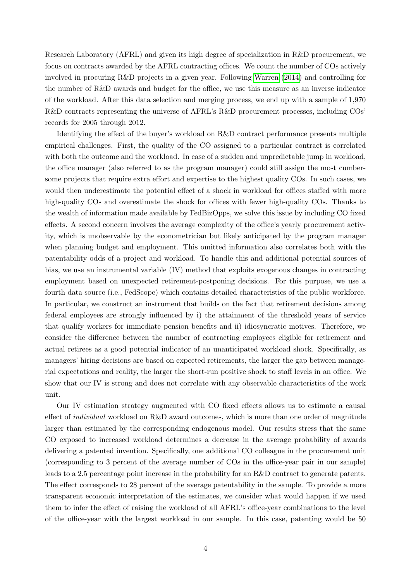Research Laboratory (AFRL) and given its high degree of specialization in R&D procurement, we focus on contracts awarded by the AFRL contracting offices. We count the number of COs actively involved in procuring R&D projects in a given year. Following [Warren](#page-35-2) [\(2014\)](#page-35-2) and controlling for the number of R&D awards and budget for the office, we use this measure as an inverse indicator of the workload. After this data selection and merging process, we end up with a sample of 1,970 R&D contracts representing the universe of AFRL's R&D procurement processes, including COs' records for 2005 through 2012.

Identifying the effect of the buyer's workload on R&D contract performance presents multiple empirical challenges. First, the quality of the CO assigned to a particular contract is correlated with both the outcome and the workload. In case of a sudden and unpredictable jump in workload, the office manager (also referred to as the program manager) could still assign the most cumbersome projects that require extra effort and expertise to the highest quality COs. In such cases, we would then underestimate the potential effect of a shock in workload for offices staffed with more high-quality COs and overestimate the shock for offices with fewer high-quality COs. Thanks to the wealth of information made available by FedBizOpps, we solve this issue by including CO fixed effects. A second concern involves the average complexity of the office's yearly procurement activity, which is unobservable by the econometrician but likely anticipated by the program manager when planning budget and employment. This omitted information also correlates both with the patentability odds of a project and workload. To handle this and additional potential sources of bias, we use an instrumental variable (IV) method that exploits exogenous changes in contracting employment based on unexpected retirement-postponing decisions. For this purpose, we use a fourth data source (i.e., FedScope) which contains detailed characteristics of the public workforce. In particular, we construct an instrument that builds on the fact that retirement decisions among federal employees are strongly influenced by i) the attainment of the threshold years of service that qualify workers for immediate pension benefits and ii) idiosyncratic motives. Therefore, we consider the difference between the number of contracting employees eligible for retirement and actual retirees as a good potential indicator of an unanticipated workload shock. Specifically, as managers' hiring decisions are based on expected retirements, the larger the gap between managerial expectations and reality, the larger the short-run positive shock to staff levels in an office. We show that our IV is strong and does not correlate with any observable characteristics of the work unit.

Our IV estimation strategy augmented with CO fixed effects allows us to estimate a causal effect of *individual* workload on R&D award outcomes, which is more than one order of magnitude larger than estimated by the corresponding endogenous model. Our results stress that the same CO exposed to increased workload determines a decrease in the average probability of awards delivering a patented invention. Specifically, one additional CO colleague in the procurement unit (corresponding to 3 percent of the average number of COs in the office-year pair in our sample) leads to a 2.5 percentage point increase in the probability for an R&D contract to generate patents. The effect corresponds to 28 percent of the average patentability in the sample. To provide a more transparent economic interpretation of the estimates, we consider what would happen if we used them to infer the effect of raising the workload of all AFRL's office-year combinations to the level of the office-year with the largest workload in our sample. In this case, patenting would be 50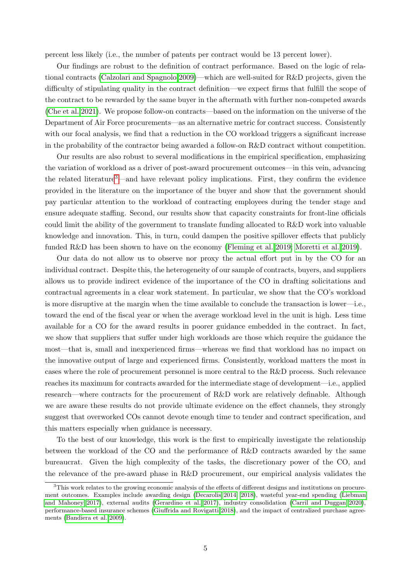percent less likely (i.e., the number of patents per contract would be 13 percent lower).

Our findings are robust to the definition of contract performance. Based on the logic of relational contracts [\(Calzolari and Spagnolo 2009\)](#page-33-6)—which are well-suited for R&D projects, given the difficulty of stipulating quality in the contract definition—we expect firms that fulfill the scope of the contract to be rewarded by the same buyer in the aftermath with further non-competed awards [\(Che et al. 2021\)](#page-33-7). We propose follow-on contracts—based on the information on the universe of the Department of Air Force procurements—as an alternative metric for contract success. Consistently with our focal analysis, we find that a reduction in the CO workload triggers a significant increase in the probability of the contractor being awarded a follow-on R&D contract without competition.

Our results are also robust to several modifications in the empirical specification, emphasizing the variation of workload as a driver of post-award procurement outcomes—in this vein, advancing the related literature<sup>[3](#page-4-0)</sup>—and have relevant policy implications. First, they confirm the evidence provided in the literature on the importance of the buyer and show that the government should pay particular attention to the workload of contracting employees during the tender stage and ensure adequate staffing. Second, our results show that capacity constraints for front-line officials could limit the ability of the government to translate funding allocated to R&D work into valuable knowledge and innovation. This, in turn, could dampen the positive spillover effects that publicly funded R&D has been shown to have on the economy [\(Fleming et al. 2019;](#page-33-0) [Moretti et al. 2019\)](#page-34-0).

Our data do not allow us to observe nor proxy the actual effort put in by the CO for an individual contract. Despite this, the heterogeneity of our sample of contracts, buyers, and suppliers allows us to provide indirect evidence of the importance of the CO in drafting solicitations and contractual agreements in a clear work statement. In particular, we show that the CO's workload is more disruptive at the margin when the time available to conclude the transaction is lower—i.e., toward the end of the fiscal year or when the average workload level in the unit is high. Less time available for a CO for the award results in poorer guidance embedded in the contract. In fact, we show that suppliers that suffer under high workloads are those which require the guidance the most—that is, small and inexperienced firms—whereas we find that workload has no impact on the innovative output of large and experienced firms. Consistently, workload matters the most in cases where the role of procurement personnel is more central to the R&D process. Such relevance reaches its maximum for contracts awarded for the intermediate stage of development—i.e., applied research—where contracts for the procurement of R&D work are relatively definable. Although we are aware these results do not provide ultimate evidence on the effect channels, they strongly suggest that overworked COs cannot devote enough time to tender and contract specification, and this matters especially when guidance is necessary.

To the best of our knowledge, this work is the first to empirically investigate the relationship between the workload of the CO and the performance of R&D contracts awarded by the same bureaucrat. Given the high complexity of the tasks, the discretionary power of the CO, and the relevance of the pre-award phase in R&D procurement, our empirical analysis validates the

<span id="page-4-0"></span><sup>&</sup>lt;sup>3</sup>This work relates to the growing economic analysis of the effects of different designs and institutions on procurement outcomes. Examples include awarding design [\(Decarolis 2014,](#page-33-8) [2018\)](#page-33-9), wasteful year-end spending [\(Liebman](#page-34-3) [and Mahoney 2017\)](#page-34-3), external audits [\(Gerardino et al. 2017\)](#page-34-4), industry consolidation [\(Carril and Duggan 2020\)](#page-33-10), performance-based insurance schemes [\(Giuffrida and Rovigatti 2018\)](#page-34-5), and the impact of centralized purchase agreements [\(Bandiera et al. 2009\)](#page-32-4).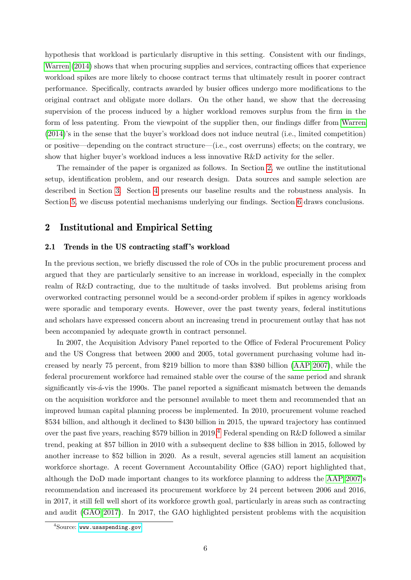hypothesis that workload is particularly disruptive in this setting. Consistent with our findings, [Warren](#page-35-2) [\(2014\)](#page-35-2) shows that when procuring supplies and services, contracting offices that experience workload spikes are more likely to choose contract terms that ultimately result in poorer contract performance. Specifically, contracts awarded by busier offices undergo more modifications to the original contract and obligate more dollars. On the other hand, we show that the decreasing supervision of the process induced by a higher workload removes surplus from the firm in the form of less patenting. From the viewpoint of the supplier then, our findings differ from [Warren](#page-35-2) [\(2014\)](#page-35-2)'s in the sense that the buyer's workload does not induce neutral (i.e., limited competition) or positive—depending on the contract structure—(i.e., cost overruns) effects; on the contrary, we show that higher buyer's workload induces a less innovative R&D activity for the seller.

The remainder of the paper is organized as follows. In Section [2,](#page-5-0) we outline the institutional setup, identification problem, and our research design. Data sources and sample selection are described in Section [3.](#page-11-0) Section [4](#page-18-0) presents our baseline results and the robustness analysis. In Section [5,](#page-27-0) we discuss potential mechanisms underlying our findings. Section [6](#page-31-0) draws conclusions.

## <span id="page-5-0"></span>2 Institutional and Empirical Setting

#### 2.1 Trends in the US contracting staff's workload

In the previous section, we briefly discussed the role of COs in the public procurement process and argued that they are particularly sensitive to an increase in workload, especially in the complex realm of R&D contracting, due to the multitude of tasks involved. But problems arising from overworked contracting personnel would be a second-order problem if spikes in agency workloads were sporadic and temporary events. However, over the past twenty years, federal institutions and scholars have expressed concern about an increasing trend in procurement outlay that has not been accompanied by adequate growth in contract personnel.

In 2007, the Acquisition Advisory Panel reported to the Office of Federal Procurement Policy and the US Congress that between 2000 and 2005, total government purchasing volume had increased by nearly 75 percent, from \$219 billion to more than \$380 billion [\(AAP 2007\)](#page-32-5), while the federal procurement workforce had remained stable over the course of the same period and shrank significantly vis- $\acute{a}$ -vis the 1990s. The panel reported a significant mismatch between the demands on the acquisition workforce and the personnel available to meet them and recommended that an improved human capital planning process be implemented. In 2010, procurement volume reached \$534 billion, and although it declined to \$430 billion in 2015, the upward trajectory has continued over the past five years, reaching \$579 billion in 2019.<sup>[4](#page-5-1)</sup> Federal spending on R&D followed a similar trend, peaking at \$57 billion in 2010 with a subsequent decline to \$38 billion in 2015, followed by another increase to \$52 billion in 2020. As a result, several agencies still lament an acquisition workforce shortage. A recent Government Accountability Office (GAO) report highlighted that, although the DoD made important changes to its workforce planning to address the [AAP 2007'](#page-32-5)s recommendation and increased its procurement workforce by 24 percent between 2006 and 2016, in 2017, it still fell well short of its workforce growth goal, particularly in areas such as contracting and audit [\(GAO 2017\)](#page-34-6). In 2017, the GAO highlighted persistent problems with the acquisition

<span id="page-5-1"></span> $4$ Source: <www.usaspending.gov>.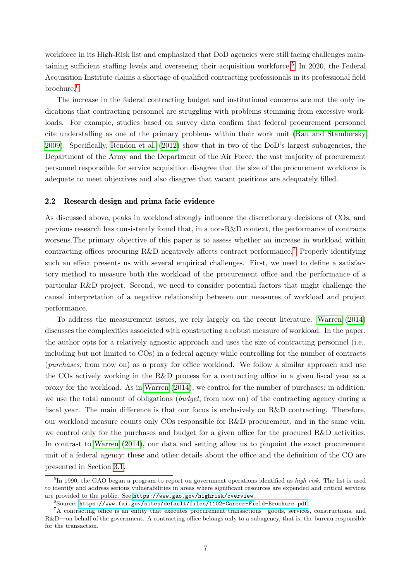workforce in its High-Risk list and emphasized that DoD agencies were still facing challenges main-taining sufficient staffing levels and overseeing their acquisition workforce.<sup>[5](#page-6-0)</sup> In 2020, the Federal Acquisition Institute claims a shortage of qualified contracting professionals in its professional field brochure.[6](#page-6-1)

The increase in the federal contracting budget and institutional concerns are not the only indications that contracting personnel are struggling with problems stemming from excessive workloads. For example, studies based on survey data confirm that federal procurement personnel cite understaffing as one of the primary problems within their work unit [\(Rau and Stambersky](#page-35-4) [2009\)](#page-35-4). Specifically, [Rendon et al.](#page-35-1) [\(2012\)](#page-35-1) show that in two of the DoD's largest subagencies, the Department of the Army and the Department of the Air Force, the vast majority of procurement personnel responsible for service acquisition disagree that the size of the procurement workforce is adequate to meet objectives and also disagree that vacant positions are adequately filled.

#### <span id="page-6-3"></span>2.2 Research design and prima facie evidence

As discussed above, peaks in workload strongly influence the discretionary decisions of COs, and previous research has consistently found that, in a non-R&D context, the performance of contracts worsens.The primary objective of this paper is to assess whether an increase in workload within contracting offices procuring R&D negatively affects contract performance.<sup>[7](#page-6-2)</sup> Properly identifying such an effect presents us with several empirical challenges. First, we need to define a satisfactory method to measure both the workload of the procurement office and the performance of a particular R&D project. Second, we need to consider potential factors that might challenge the causal interpretation of a negative relationship between our measures of workload and project performance.

To address the measurement issues, we rely largely on the recent literature. [Warren](#page-35-2) [\(2014\)](#page-35-2) discusses the complexities associated with constructing a robust measure of workload. In the paper, the author opts for a relatively agnostic approach and uses the size of contracting personnel (i.e., including but not limited to COs) in a federal agency while controlling for the number of contracts (purchases, from now on) as a proxy for office workload. We follow a similar approach and use the COs actively working in the R&D process for a contracting office in a given fiscal year as a proxy for the workload. As in [Warren](#page-35-2) [\(2014\)](#page-35-2), we control for the number of purchases; in addition, we use the total amount of obligations (*budget*, from now on) of the contracting agency during a fiscal year. The main difference is that our focus is exclusively on R&D contracting. Therefore, our workload measure counts only COs responsible for R&D procurement, and in the same vein, we control only for the purchases and budget for a given office for the procured R&D activities. In contrast to [Warren](#page-35-2) [\(2014\)](#page-35-2), our data and setting allow us to pinpoint the exact procurement unit of a federal agency; these and other details about the office and the definition of the CO are presented in Section [3.1.](#page-11-1)

<span id="page-6-0"></span><sup>&</sup>lt;sup>5</sup>In 1990, the GAO began a program to report on government operations identified as *high risk*. The list is used to identify and address serious vulnerabilities in areas where significant resources are expended and critical services are provided to the public. See <https://www.gao.gov/highrisk/overview>.

<span id="page-6-2"></span><span id="page-6-1"></span> $^6$ Source: <https://www.fai.gov/sites/default/files/1102-Career-Field-Brochure.pdf>.

<sup>7</sup>A contracting office is an entity that executes procurement transactions—goods, services, constructions, and R&D—on behalf of the government. A contracting office belongs only to a subagency, that is, the bureau responsible for the transaction.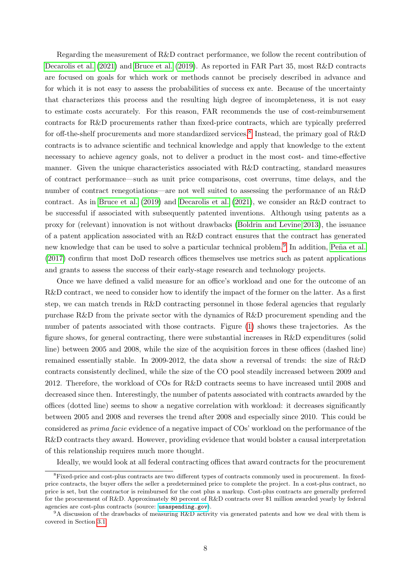Regarding the measurement of R&D contract performance, we follow the recent contribution of [Decarolis et al.](#page-33-5) [\(2021\)](#page-33-5) and [Bruce et al.](#page-32-3) [\(2019\)](#page-32-3). As reported in FAR Part 35, most R&D contracts are focused on goals for which work or methods cannot be precisely described in advance and for which it is not easy to assess the probabilities of success ex ante. Because of the uncertainty that characterizes this process and the resulting high degree of incompleteness, it is not easy to estimate costs accurately. For this reason, FAR recommends the use of cost-reimbursement contracts for R&D procurements rather than fixed-price contracts, which are typically preferred for off-the-shelf procurements and more standardized services.<sup>[8](#page-7-0)</sup> Instead, the primary goal of R&D contracts is to advance scientific and technical knowledge and apply that knowledge to the extent necessary to achieve agency goals, not to deliver a product in the most cost- and time-effective manner. Given the unique characteristics associated with R&D contracting, standard measures of contract performance—such as unit price comparisons, cost overruns, time delays, and the number of contract renegotiations—are not well suited to assessing the performance of an R&D contract. As in [Bruce et al.](#page-32-3) [\(2019\)](#page-32-3) and [Decarolis et al.](#page-33-5) [\(2021\)](#page-33-5), we consider an R&D contract to be successful if associated with subsequently patented inventions. Although using patents as a proxy for (relevant) innovation is not without drawbacks [\(Boldrin and Levine 2013\)](#page-32-6), the issuance of a patent application associated with an R&D contract ensures that the contract has generated new knowledge that can be used to solve a particular technical problem.<sup>[9](#page-7-1)</sup> In addition, Peña et al. [\(2017\)](#page-34-7) confirm that most DoD research offices themselves use metrics such as patent applications and grants to assess the success of their early-stage research and technology projects.

Once we have defined a valid measure for an office's workload and one for the outcome of an R&D contract, we need to consider how to identify the impact of the former on the latter. As a first step, we can match trends in R&D contracting personnel in those federal agencies that regularly purchase R&D from the private sector with the dynamics of R&D procurement spending and the number of patents associated with those contracts. Figure [\(1\)](#page-8-0) shows these trajectories. As the figure shows, for general contracting, there were substantial increases in R&D expenditures (solid line) between 2005 and 2008, while the size of the acquisition forces in these offices (dashed line) remained essentially stable. In 2009-2012, the data show a reversal of trends: the size of R&D contracts consistently declined, while the size of the CO pool steadily increased between 2009 and 2012. Therefore, the workload of COs for R&D contracts seems to have increased until 2008 and decreased since then. Interestingly, the number of patents associated with contracts awarded by the offices (dotted line) seems to show a negative correlation with workload: it decreases significantly between 2005 and 2008 and reverses the trend after 2008 and especially since 2010. This could be considered as prima facie evidence of a negative impact of COs' workload on the performance of the R&D contracts they award. However, providing evidence that would bolster a causal interpretation of this relationship requires much more thought.

Ideally, we would look at all federal contracting offices that award contracts for the procurement

<span id="page-7-0"></span><sup>&</sup>lt;sup>8</sup>Fixed-price and cost-plus contracts are two different types of contracts commonly used in procurement. In fixedprice contracts, the buyer offers the seller a predetermined price to complete the project. In a cost-plus contract, no price is set, but the contractor is reimbursed for the cost plus a markup. Cost-plus contracts are generally preferred for the procurement of R&D. Approximately 80 percent of R&D contracts over \$1 million awarded yearly by federal agencies are cost-plus contracts (source: <usaspending.gov>).

<span id="page-7-1"></span> $9A$  discussion of the drawbacks of measuring R&D activity via generated patents and how we deal with them is covered in Section [3.1.](#page-11-1)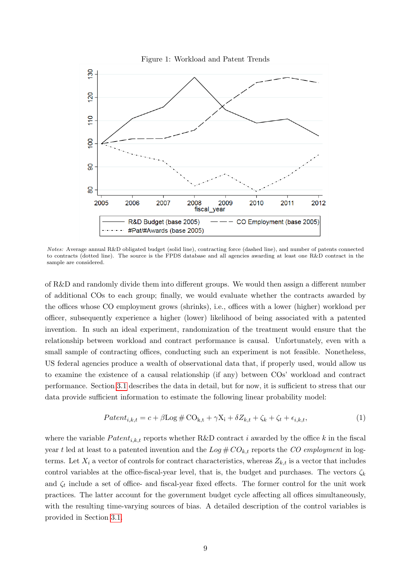<span id="page-8-0"></span>

Notes: Average annual R&D obligated budget (solid line), contracting force (dashed line), and number of patents connected to contracts (dotted line). The source is the FPDS database and all agencies awarding at least one R&D contract in the sample are considered.

of R&D and randomly divide them into different groups. We would then assign a different number of additional COs to each group; finally, we would evaluate whether the contracts awarded by the offices whose CO employment grows (shrinks), i.e., offices with a lower (higher) workload per officer, subsequently experience a higher (lower) likelihood of being associated with a patented invention. In such an ideal experiment, randomization of the treatment would ensure that the relationship between workload and contract performance is causal. Unfortunately, even with a small sample of contracting offices, conducting such an experiment is not feasible. Nonetheless, US federal agencies produce a wealth of observational data that, if properly used, would allow us to examine the existence of a causal relationship (if any) between COs' workload and contract performance. Section [3.1](#page-11-1) describes the data in detail, but for now, it is sufficient to stress that our data provide sufficient information to estimate the following linear probability model:

<span id="page-8-1"></span>
$$
Patent_{i,k,t} = c + \beta \log \# \text{CO}_{k,t} + \gamma X_i + \delta Z_{k,t} + \zeta_k + \zeta_t + \epsilon_{i,k,t},\tag{1}
$$

where the variable  $Pattern_{i,k,t}$  reports whether R&D contract i awarded by the office k in the fiscal year t led at least to a patented invention and the  $Log # CO_{k,t}$  reports the CO employment in logterms. Let  $X_i$  a vector of controls for contract characteristics, whereas  $Z_{k,t}$  is a vector that includes control variables at the office-fiscal-year level, that is, the budget and purchases. The vectors  $\zeta_k$ and  $\zeta_t$  include a set of office- and fiscal-year fixed effects. The former control for the unit work practices. The latter account for the government budget cycle affecting all offices simultaneously, with the resulting time-varying sources of bias. A detailed description of the control variables is provided in Section [3.1.](#page-11-1)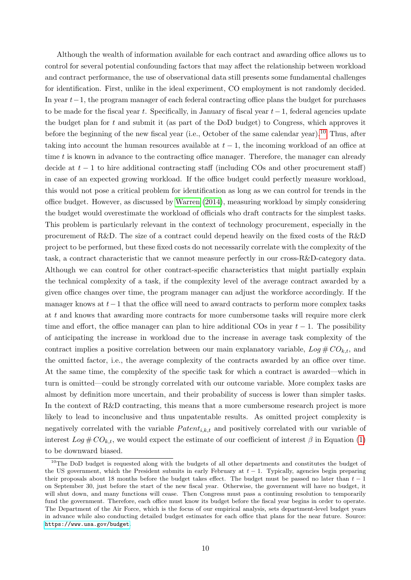Although the wealth of information available for each contract and awarding office allows us to control for several potential confounding factors that may affect the relationship between workload and contract performance, the use of observational data still presents some fundamental challenges for identification. First, unlike in the ideal experiment, CO employment is not randomly decided. In year  $t-1$ , the program manager of each federal contracting office plans the budget for purchases to be made for the fiscal year t. Specifically, in January of fiscal year  $t-1$ , federal agencies update the budget plan for  $t$  and submit it (as part of the DoD budget) to Congress, which approves it before the beginning of the new fiscal year (i.e., October of the same calendar year).<sup>[10](#page-9-0)</sup> Thus, after taking into account the human resources available at  $t-1$ , the incoming workload of an office at time  $t$  is known in advance to the contracting office manager. Therefore, the manager can already decide at  $t-1$  to hire additional contracting staff (including COs and other procurement staff) in case of an expected growing workload. If the office budget could perfectly measure workload, this would not pose a critical problem for identification as long as we can control for trends in the office budget. However, as discussed by [Warren](#page-35-2) [\(2014\)](#page-35-2), measuring workload by simply considering the budget would overestimate the workload of officials who draft contracts for the simplest tasks. This problem is particularly relevant in the context of technology procurement, especially in the procurement of R&D. The size of a contract could depend heavily on the fixed costs of the R&D project to be performed, but these fixed costs do not necessarily correlate with the complexity of the task, a contract characteristic that we cannot measure perfectly in our cross-R&D-category data. Although we can control for other contract-specific characteristics that might partially explain the technical complexity of a task, if the complexity level of the average contract awarded by a given office changes over time, the program manager can adjust the workforce accordingly. If the manager knows at  $t-1$  that the office will need to award contracts to perform more complex tasks at t and knows that awarding more contracts for more cumbersome tasks will require more clerk time and effort, the office manager can plan to hire additional COs in year  $t-1$ . The possibility of anticipating the increase in workload due to the increase in average task complexity of the contract implies a positive correlation between our main explanatory variable,  $Log \# CO_{k,t}$ , and the omitted factor, i.e., the average complexity of the contracts awarded by an office over time. At the same time, the complexity of the specific task for which a contract is awarded—which in turn is omitted—could be strongly correlated with our outcome variable. More complex tasks are almost by definition more uncertain, and their probability of success is lower than simpler tasks. In the context of R&D contracting, this means that a more cumbersome research project is more likely to lead to inconclusive and thus unpatentable results. As omitted project complexity is negatively correlated with the variable  $Pattern_{i,k,t}$  and positively correlated with our variable of interest  $Log \# CO_{k,t}$ , we would expect the estimate of our coefficient of interest  $\beta$  in Equation [\(1\)](#page-8-1) to be downward biased.

<span id="page-9-0"></span><sup>&</sup>lt;sup>10</sup>The DoD budget is requested along with the budgets of all other departments and constitutes the budget of the US government, which the President submits in early February at  $t - 1$ . Typically, agencies begin preparing their proposals about 18 months before the budget takes effect. The budget must be passed no later than  $t - 1$ on September 30, just before the start of the new fiscal year. Otherwise, the government will have no budget, it will shut down, and many functions will cease. Then Congress must pass a continuing resolution to temporarily fund the government. Therefore, each office must know its budget before the fiscal year begins in order to operate. The Department of the Air Force, which is the focus of our empirical analysis, sets department-level budget years in advance while also conducting detailed budget estimates for each office that plans for the near future. Source: <https://www.usa.gov/budget>.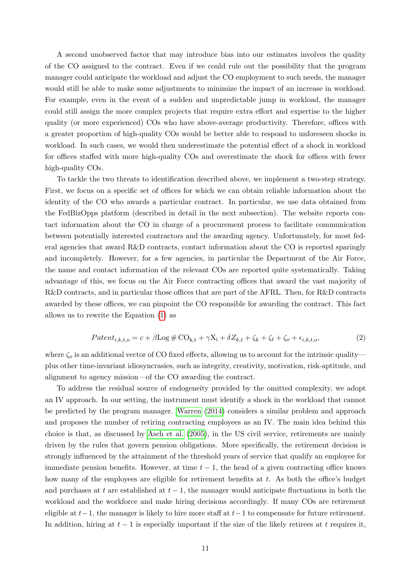A second unobserved factor that may introduce bias into our estimates involves the quality of the CO assigned to the contract. Even if we could rule out the possibility that the program manager could anticipate the workload and adjust the CO employment to such needs, the manager would still be able to make some adjustments to minimize the impact of an increase in workload. For example, even in the event of a sudden and unpredictable jump in workload, the manager could still assign the more complex projects that require extra effort and expertise to the higher quality (or more experienced) COs who have above-average productivity. Therefore, offices with a greater proportion of high-quality COs would be better able to respond to unforeseen shocks in workload. In such cases, we would then underestimate the potential effect of a shock in workload for offices staffed with more high-quality COs and overestimate the shock for offices with fewer high-quality COs.

To tackle the two threats to identification described above, we implement a two-step strategy. First, we focus on a specific set of offices for which we can obtain reliable information about the identity of the CO who awards a particular contract. In particular, we use data obtained from the FedBizOpps platform (described in detail in the next subsection). The website reports contact information about the CO in charge of a procurement process to facilitate communication between potentially interested contractors and the awarding agency. Unfortunately, for most federal agencies that award R&D contracts, contact information about the CO is reported sparingly and incompletely. However, for a few agencies, in particular the Department of the Air Force, the name and contact information of the relevant COs are reported quite systematically. Taking advantage of this, we focus on the Air Force contracting offices that award the vast majority of R&D contracts, and in particular those offices that are part of the AFRL. Then, for R&D contracts awarded by these offices, we can pinpoint the CO responsible for awarding the contract. This fact allows us to rewrite the Equation [\(1\)](#page-8-1) as

<span id="page-10-0"></span>
$$
Patent_{i,k,t,o} = c + \beta \log \# \text{CO}_{k,t} + \gamma X_i + \delta Z_{k,t} + \zeta_k + \zeta_t + \zeta_o + \epsilon_{i,k,t,o},\tag{2}
$$

where  $\zeta_o$  is an additional vector of CO fixed effects, allowing us to account for the intrinsic quality plus other time-invariant idiosyncrasies, such as integrity, creativity, motivation, risk-aptitude, and alignment to agency mission—of the CO awarding the contract.

To address the residual source of endogeneity provided by the omitted complexity, we adopt an IV approach. In our setting, the instrument must identify a shock in the workload that cannot be predicted by the program manager. [Warren](#page-35-2) [\(2014\)](#page-35-2) considers a similar problem and approach and proposes the number of retiring contracting employees as an IV. The main idea behind this choice is that, as discussed by [Asch et al.](#page-32-7) [\(2005\)](#page-32-7), in the US civil service, retirements are mainly driven by the rules that govern pension obligations. More specifically, the retirement decision is strongly influenced by the attainment of the threshold years of service that qualify an employee for immediate pension benefits. However, at time  $t - 1$ , the head of a given contracting office knows how many of the employees are eligible for retirement benefits at t. As both the office's budget and purchases at t are established at  $t-1$ , the manager would anticipate fluctuations in both the workload and the workforce and make hiring decisions accordingly. If many COs are retirement eligible at  $t-1$ , the manager is likely to hire more staff at  $t-1$  to compensate for future retirement. In addition, hiring at  $t - 1$  is especially important if the size of the likely retirees at t requires it,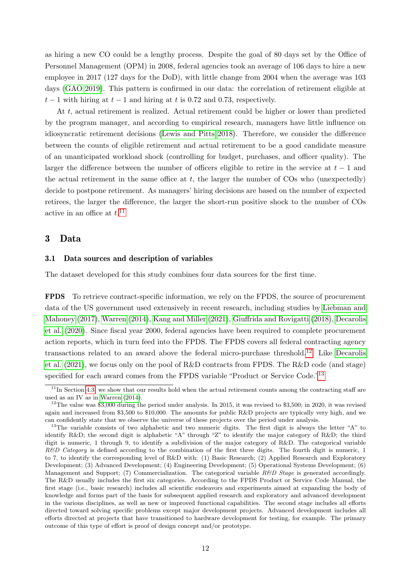as hiring a new CO could be a lengthy process. Despite the goal of 80 days set by the Office of Personnel Management (OPM) in 2008, federal agencies took an average of 106 days to hire a new employee in 2017 (127 days for the DoD), with little change from 2004 when the average was 103 days [\(GAO 2019\)](#page-34-8). This pattern is confirmed in our data: the correlation of retirement eligible at  $t-1$  with hiring at  $t-1$  and hiring at t is 0.72 and 0.73, respectively.

At t, actual retirement is realized. Actual retirement could be higher or lower than predicted by the program manager, and according to empirical research, managers have little influence on idiosyncratic retirement decisions [\(Lewis and Pitts 2018\)](#page-34-9). Therefore, we consider the difference between the counts of eligible retirement and actual retirement to be a good candidate measure of an unanticipated workload shock (controlling for budget, purchases, and officer quality). The larger the difference between the number of officers eligible to retire in the service at  $t - 1$  and the actual retirement in the same office at  $t$ , the larger the number of  $\cos$  who (unexpectedly) decide to postpone retirement. As managers' hiring decisions are based on the number of expected retirees, the larger the difference, the larger the short-run positive shock to the number of COs active in an office at  $t$ <sup>[11](#page-11-2)</sup>

## <span id="page-11-0"></span>3 Data

#### <span id="page-11-1"></span>3.1 Data sources and description of variables

The dataset developed for this study combines four data sources for the first time.

FPDS To retrieve contract-specific information, we rely on the FPDS, the source of procurement data of the US government used extensively in recent research, including studies by [Liebman and](#page-34-3) [Mahoney](#page-34-3) [\(2017\)](#page-34-3), [Warren](#page-35-2) [\(2014\)](#page-35-2), [Kang and Miller](#page-34-10) [\(2021\)](#page-34-10), [Giuffrida and Rovigatti](#page-34-5) [\(2018\)](#page-34-5), [Decarolis](#page-33-3) [et al.](#page-33-3) [\(2020\)](#page-33-3). Since fiscal year 2000, federal agencies have been required to complete procurement action reports, which in turn feed into the FPDS. The FPDS covers all federal contracting agency transactions related to an award above the federal micro-purchase threshold.[12](#page-11-3) Like [Decarolis](#page-33-5) [et al.](#page-33-5) [\(2021\)](#page-33-5), we focus only on the pool of R&D contracts from FPDS. The R&D code (and stage) specified for each award comes from the FPDS variable "Product or Service Code."<sup>[13](#page-11-4)</sup>

<span id="page-11-2"></span> $11$ In Section [4.3,](#page-25-0) we show that our results hold when the actual retirement counts among the contracting staff are used as an IV as in [Warren](#page-35-2) [\(2014\)](#page-35-2).

<span id="page-11-3"></span><sup>&</sup>lt;sup>12</sup>The value was \$3,000 during the period under analysis. In 2015, it was revised to \$3,500; in 2020, it was revised again and increased from \$3,500 to \$10,000. The amounts for public R&D projects are typically very high, and we can confidently state that we observe the universe of these projects over the period under analysis.

<span id="page-11-4"></span><sup>&</sup>lt;sup>13</sup>The variable consists of two alphabetic and two numeric digits. The first digit is always the letter "A" to identify R&D; the second digit is alphabetic "A" through "Z" to identify the major category of R&D; the third digit is numeric, 1 through 9, to identify a subdivision of the major category of R&D. The categorical variable R&D Category is defined according to the combination of the first three digits. The fourth digit is numeric, 1 to 7, to identify the corresponding level of R&D with: (1) Basic Research; (2) Applied Research and Exploratory Development; (3) Advanced Development; (4) Engineering Development; (5) Operational Systems Development; (6) Management and Support; (7) Commercialization. The categorical variable  $R\&D$  Stage is generated accordingly. The R&D usually includes the first six categories. According to the FPDS Product or Service Code Manual, the first stage (i.e., basic research) includes all scientific endeavors and experiments aimed at expanding the body of knowledge and forms part of the basis for subsequent applied research and exploratory and advanced development in the various disciplines, as well as new or improved functional capabilities. The second stage includes all efforts directed toward solving specific problems except major development projects. Advanced development includes all efforts directed at projects that have transitioned to hardware development for testing, for example. The primary outcome of this type of effort is proof of design concept and/or prototype.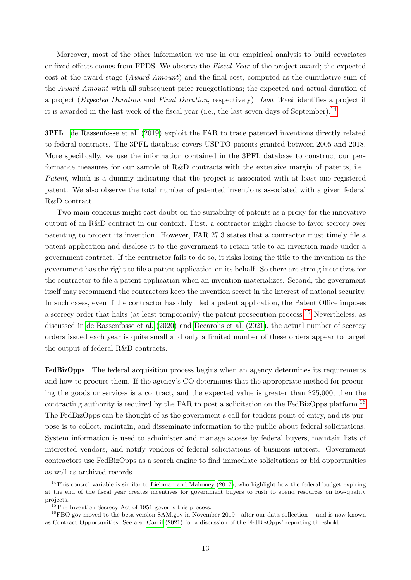Moreover, most of the other information we use in our empirical analysis to build covariates or fixed effects comes from FPDS. We observe the Fiscal Year of the project award; the expected cost at the award stage (Award Amount) and the final cost, computed as the cumulative sum of the *Award Amount* with all subsequent price renegotiations; the expected and actual duration of a project (Expected Duration and Final Duration, respectively). Last Week identifies a project if it is awarded in the last week of the fiscal year (i.e., the last seven days of September).[14](#page-12-0)

3PFL [de Rassenfosse et al.](#page-33-1) [\(2019\)](#page-33-1) exploit the FAR to trace patented inventions directly related to federal contracts. The 3PFL database covers USPTO patents granted between 2005 and 2018. More specifically, we use the information contained in the 3PFL database to construct our performance measures for our sample of R&D contracts with the extensive margin of patents, i.e., Patent, which is a dummy indicating that the project is associated with at least one registered patent. We also observe the total number of patented inventions associated with a given federal R&D contract.

Two main concerns might cast doubt on the suitability of patents as a proxy for the innovative output of an R&D contract in our context. First, a contractor might choose to favor secrecy over patenting to protect its invention. However, FAR 27.3 states that a contractor must timely file a patent application and disclose it to the government to retain title to an invention made under a government contract. If the contractor fails to do so, it risks losing the title to the invention as the government has the right to file a patent application on its behalf. So there are strong incentives for the contractor to file a patent application when an invention materializes. Second, the government itself may recommend the contractors keep the invention secret in the interest of national security. In such cases, even if the contractor has duly filed a patent application, the Patent Office imposes a secrecy order that halts (at least temporarily) the patent prosecution process.[15](#page-12-1) Nevertheless, as discussed in [de Rassenfosse et al.](#page-33-11) [\(2020\)](#page-33-11) and [Decarolis et al.](#page-33-5) [\(2021\)](#page-33-5), the actual number of secrecy orders issued each year is quite small and only a limited number of these orders appear to target the output of federal R&D contracts.

FedBizOpps The federal acquisition process begins when an agency determines its requirements and how to procure them. If the agency's CO determines that the appropriate method for procuring the goods or services is a contract, and the expected value is greater than \$25,000, then the contracting authority is required by the FAR to post a solicitation on the FedBizOpps platform.<sup>[16](#page-12-2)</sup> The FedBizOpps can be thought of as the government's call for tenders point-of-entry, and its purpose is to collect, maintain, and disseminate information to the public about federal solicitations. System information is used to administer and manage access by federal buyers, maintain lists of interested vendors, and notify vendors of federal solicitations of business interest. Government contractors use FedBizOpps as a search engine to find immediate solicitations or bid opportunities as well as archived records.

<span id="page-12-0"></span> $14$ This control variable is similar to [Liebman and Mahoney](#page-34-3) [\(2017\)](#page-34-3), who highlight how the federal budget expiring at the end of the fiscal year creates incentives for government buyers to rush to spend resources on low-quality projects.

<span id="page-12-2"></span><span id="page-12-1"></span><sup>&</sup>lt;sup>15</sup>The Invention Secrecy Act of 1951 governs this process.

<sup>16</sup>FBO.gov moved to the beta version SAM.gov in November 2019—after our data collection— and is now known as Contract Opportunities. See also [Carril](#page-33-12) [\(2021\)](#page-33-12) for a discussion of the FedBizOpps' reporting threshold.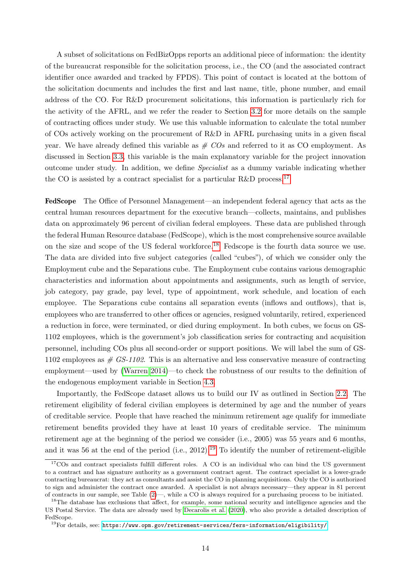A subset of solicitations on FedBizOpps reports an additional piece of information: the identity of the bureaucrat responsible for the solicitation process, i.e., the CO (and the associated contract identifier once awarded and tracked by FPDS). This point of contact is located at the bottom of the solicitation documents and includes the first and last name, title, phone number, and email address of the CO. For R&D procurement solicitations, this information is particularly rich for the activity of the AFRL, and we refer the reader to Section [3.2](#page-14-0) for more details on the sample of contracting offices under study. We use this valuable information to calculate the total number of COs actively working on the procurement of R&D in AFRL purchasing units in a given fiscal year. We have already defined this variable as  $# COs$  and referred to it as CO employment. As discussed in Section [3.3,](#page-15-0) this variable is the main explanatory variable for the project innovation outcome under study. In addition, we define Specialist as a dummy variable indicating whether the CO is assisted by a contract specialist for a particular R&D process.<sup>[17](#page-13-0)</sup>

FedScope The Office of Personnel Management—an independent federal agency that acts as the central human resources department for the executive branch—collects, maintains, and publishes data on approximately 96 percent of civilian federal employees. These data are published through the federal Human Resource database (FedScope), which is the most comprehensive source available on the size and scope of the US federal workforce.<sup>[18](#page-13-1)</sup> Fedscope is the fourth data source we use. The data are divided into five subject categories (called "cubes"), of which we consider only the Employment cube and the Separations cube. The Employment cube contains various demographic characteristics and information about appointments and assignments, such as length of service, job category, pay grade, pay level, type of appointment, work schedule, and location of each employee. The Separations cube contains all separation events (inflows and outflows), that is, employees who are transferred to other offices or agencies, resigned voluntarily, retired, experienced a reduction in force, were terminated, or died during employment. In both cubes, we focus on GS-1102 employees, which is the government's job classification series for contracting and acquisition personnel, including COs plus all second-order or support positions. We will label the sum of GS-1102 employees as  $\#$  GS-1102. This is an alternative and less conservative measure of contracting employment—used by [\(Warren 2014\)](#page-35-2)—to check the robustness of our results to the definition of the endogenous employment variable in Section [4.3.](#page-25-0)

Importantly, the FedScope dataset allows us to build our IV as outlined in Section [2.2.](#page-6-3) The retirement eligibility of federal civilian employees is determined by age and the number of years of creditable service. People that have reached the minimum retirement age qualify for immediate retirement benefits provided they have at least 10 years of creditable service. The minimum retirement age at the beginning of the period we consider (i.e., 2005) was 55 years and 6 months, and it was 56 at the end of the period (i.e.,  $2012$ ).<sup>[19](#page-13-2)</sup> To identify the number of retirement-eligible

<span id="page-13-0"></span><sup>&</sup>lt;sup>17</sup>COs and contract specialists fulfill different roles. A CO is an individual who can bind the US government to a contract and has signature authority as a government contract agent. The contract specialist is a lower-grade contracting bureaucrat: they act as consultants and assist the CO in planning acquisitions. Only the CO is authorized to sign and administer the contract once awarded. A specialist is not always necessary—they appear in 81 percent of contracts in our sample, see Table [\(2\)](#page-17-0)—, while a CO is always required for a purchasing process to be initiated.

<span id="page-13-1"></span><sup>&</sup>lt;sup>18</sup>The database has exclusions that affect, for example, some national security and intelligence agencies and the US Postal Service. The data are already used by [Decarolis et al.](#page-33-3) [\(2020\)](#page-33-3), who also provide a detailed description of FedScope.

<span id="page-13-2"></span><sup>19</sup>For details, see: <https://www.opm.gov/retirement-services/fers-information/eligibility/>.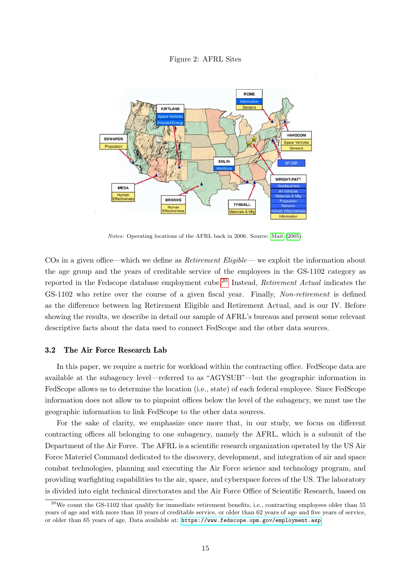<span id="page-14-2"></span>Figure 2: AFRL Sites



Notes: Operating locations of the AFRL back in 2006. Source: [Mait](#page-34-11) [\(2005\)](#page-34-11).

COs in a given office—which we define as Retirement Eligible— we exploit the information about the age group and the years of creditable service of the employees in the GS-1102 category as reported in the Fedscope database employment cube.<sup>[20](#page-14-1)</sup> Instead, *Retirement Actual* indicates the GS-1102 who retire over the course of a given fiscal year. Finally, Non-retirement is defined as the difference between lag Retirement Eligible and Retirement Actual, and is our IV. Before showing the results, we describe in detail our sample of AFRL's bureaus and present some relevant descriptive facts about the data used to connect FedScope and the other data sources.

### <span id="page-14-0"></span>3.2 The Air Force Research Lab

In this paper, we require a metric for workload within the contracting office. FedScope data are available at the subagency level—referred to as "AGYSUB"—but the geographic information in FedScope allows us to determine the location (i.e., state) of each federal employee. Since FedScope information does not allow us to pinpoint offices below the level of the subagency, we must use the geographic information to link FedScope to the other data sources.

For the sake of clarity, we emphasize once more that, in our study, we focus on different contracting offices all belonging to one subagency, namely the AFRL, which is a subunit of the Department of the Air Force. The AFRL is a scientific research organization operated by the US Air Force Materiel Command dedicated to the discovery, development, and integration of air and space combat technologies, planning and executing the Air Force science and technology program, and providing warfighting capabilities to the air, space, and cyberspace forces of the US. The laboratory is divided into eight technical directorates and the Air Force Office of Scientific Research, based on

<span id="page-14-1"></span> $^{20}$ We count the GS-1102 that qualify for immediate retirement benefits, i.e., contracting employees older than 55 years of age and with more than 10 years of creditable service, or older than 62 years of age and five years of service, or older than 65 years of age. Data available at: [https://www.fedscope.opm.gov/employment.asp]( https://www.fedscope.opm.gov/employment.asp ).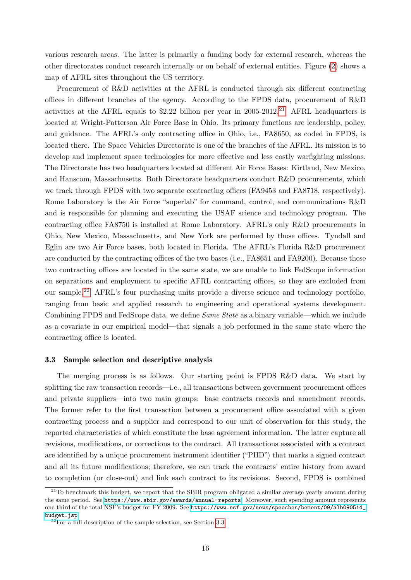various research areas. The latter is primarily a funding body for external research, whereas the other directorates conduct research internally or on behalf of external entities. Figure [\(2\)](#page-14-2) shows a map of AFRL sites throughout the US territory.

Procurement of R&D activities at the AFRL is conducted through six different contracting offices in different branches of the agency. According to the FPDS data, procurement of R&D activities at the AFRL equals to \$2.22 billion per year in  $2005-2012$ .<sup>[21](#page-15-1)</sup> AFRL headquarters is located at Wright-Patterson Air Force Base in Ohio. Its primary functions are leadership, policy, and guidance. The AFRL's only contracting office in Ohio, i.e., FA8650, as coded in FPDS, is located there. The Space Vehicles Directorate is one of the branches of the AFRL. Its mission is to develop and implement space technologies for more effective and less costly warfighting missions. The Directorate has two headquarters located at different Air Force Bases: Kirtland, New Mexico, and Hanscom, Massachusetts. Both Directorate headquarters conduct R&D procurements, which we track through FPDS with two separate contracting offices (FA9453 and FA8718, respectively). Rome Laboratory is the Air Force "superlab" for command, control, and communications R&D and is responsible for planning and executing the USAF science and technology program. The contracting office FA8750 is installed at Rome Laboratory. AFRL's only R&D procurements in Ohio, New Mexico, Massachusetts, and New York are performed by those offices. Tyndall and Eglin are two Air Force bases, both located in Florida. The AFRL's Florida R&D procurement are conducted by the contracting offices of the two bases (i.e., FA8651 and FA9200). Because these two contracting offices are located in the same state, we are unable to link FedScope information on separations and employment to specific AFRL contracting offices, so they are excluded from our sample.[22](#page-15-2) AFRL's four purchasing units provide a diverse science and technology portfolio, ranging from basic and applied research to engineering and operational systems development. Combining FPDS and FedScope data, we define *Same State* as a binary variable—which we include as a covariate in our empirical model—that signals a job performed in the same state where the contracting office is located.

#### <span id="page-15-0"></span>3.3 Sample selection and descriptive analysis

The merging process is as follows. Our starting point is FPDS R&D data. We start by splitting the raw transaction records—i.e., all transactions between government procurement offices and private suppliers—into two main groups: base contracts records and amendment records. The former refer to the first transaction between a procurement office associated with a given contracting process and a supplier and correspond to our unit of observation for this study, the reported characteristics of which constitute the base agreement information. The latter capture all revisions, modifications, or corrections to the contract. All transactions associated with a contract are identified by a unique procurement instrument identifier ("PIID") that marks a signed contract and all its future modifications; therefore, we can track the contracts' entire history from award to completion (or close-out) and link each contract to its revisions. Second, FPDS is combined

<span id="page-15-1"></span> $21$ To benchmark this budget, we report that the SBIR program obligated a similar average yearly amount during the same period. See <https://www.sbir.gov/awards/annual-reports>. Moreover, such spending amount represents one-third of the total NSF's budget for FY 2009. See [https://www.nsf.gov/news/speeches/bement/09/alb090514\\_](https://www.nsf.gov/news/speeches/bement/09/alb090514_budget.jsp) [budget.jsp](https://www.nsf.gov/news/speeches/bement/09/alb090514_budget.jsp).

<span id="page-15-2"></span> $2^{22}$ For a full description of the sample selection, see Section [3.3.](#page-15-0)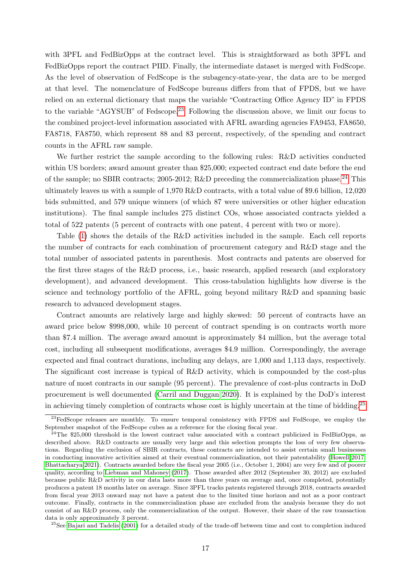with 3PFL and FedBizOpps at the contract level. This is straightforward as both 3PFL and FedBizOpps report the contract PIID. Finally, the intermediate dataset is merged with FedScope. As the level of observation of FedScope is the subagency-state-year, the data are to be merged at that level. The nomenclature of FedScope bureaus differs from that of FPDS, but we have relied on an external dictionary that maps the variable "Contracting Office Agency ID" in FPDS to the variable "AGYSUB" of Fedscope.<sup>[23](#page-16-0)</sup> Following the discussion above, we limit our focus to the combined project-level information associated with AFRL awarding agencies FA9453, FA8650, FA8718, FA8750, which represent 88 and 83 percent, respectively, of the spending and contract counts in the AFRL raw sample.

We further restrict the sample according to the following rules: R&D activities conducted within US borders; award amount greater than \$25,000; expected contract end date before the end of the sample; no SBIR contracts; 2005-2012; R&D preceding the commercialization phase.<sup>[24](#page-16-1)</sup> This ultimately leaves us with a sample of 1,970 R&D contracts, with a total value of \$9.6 billion, 12,020 bids submitted, and 579 unique winners (of which 87 were universities or other higher education institutions). The final sample includes 275 distinct COs, whose associated contracts yielded a total of 522 patents (5 percent of contracts with one patent, 4 percent with two or more).

Table [\(1\)](#page-17-1) shows the details of the R&D activities included in the sample. Each cell reports the number of contracts for each combination of procurement category and R&D stage and the total number of associated patents in parenthesis. Most contracts and patents are observed for the first three stages of the R&D process, i.e., basic research, applied research (and exploratory development), and advanced development. This cross-tabulation highlights how diverse is the science and technology portfolio of the AFRL, going beyond military R&D and spanning basic research to advanced development stages.

Contract amounts are relatively large and highly skewed: 50 percent of contracts have an award price below \$998,000, while 10 percent of contract spending is on contracts worth more than \$7.4 million. The average award amount is approximately \$4 million, but the average total cost, including all subsequent modifications, averages \$4.9 million. Correspondingly, the average expected and final contract durations, including any delays, are 1,000 and 1,113 days, respectively. The significant cost increase is typical of R&D activity, which is compounded by the cost-plus nature of most contracts in our sample (95 percent). The prevalence of cost-plus contracts in DoD procurement is well documented [\(Carril and Duggan 2020\)](#page-33-10). It is explained by the DoD's interest in achieving timely completion of contracts whose cost is highly uncertain at the time of bidding.<sup>[25](#page-16-2)</sup>

<span id="page-16-2"></span> $^{25}$ See [Bajari and Tadelis](#page-32-9) [\(2001\)](#page-32-9) for a detailed study of the trade-off between time and cost to completion induced

<span id="page-16-0"></span><sup>&</sup>lt;sup>23</sup>FedScope releases are monthly. To ensure temporal consistency with FPDS and FedScope, we employ the September snapshot of the FedScope cubes as a reference for the closing fiscal year.

<span id="page-16-1"></span><sup>&</sup>lt;sup>24</sup>The \$25,000 threshold is the lowest contract value associated with a contract publicized in FedBizOpps, as described above. R&D contracts are usually very large and this selection prompts the loss of very few observations. Regarding the exclusion of SBIR contracts, these contracts are intended to assist certain small businesses in conducting innovative activities aimed at their eventual commercialization, not their patentability [\(Howell 2017;](#page-34-12) [Bhattacharya 2021\)](#page-32-8). Contracts awarded before the fiscal year 2005 (i.e., October 1, 2004) are very few and of poorer quality, according to [Liebman and Mahoney](#page-34-3) [\(2017\)](#page-34-3). Those awarded after 2012 (September 30, 2012) are excluded because public R&D activity in our data lasts more than three years on average and, once completed, potentially produces a patent 18 months later on average. Since 3PFL tracks patents registered through 2018, contracts awarded from fiscal year 2013 onward may not have a patent due to the limited time horizon and not as a poor contract outcome. Finally, contracts in the commercialization phase are excluded from the analysis because they do not consist of an R&D process, only the commercialization of the output. However, their share of the raw transaction data is only approximately 3 percent.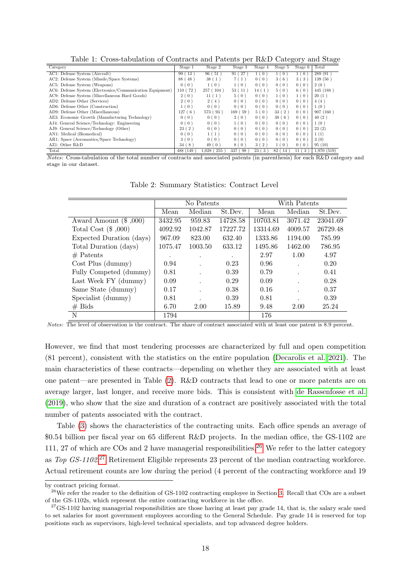<span id="page-17-1"></span>Table 1: Cross-tabulation of Contracts and Patents per R&D Category and Stage

|                                                           |           |                   |                          |                     |                      | ີ                      |            |
|-----------------------------------------------------------|-----------|-------------------|--------------------------|---------------------|----------------------|------------------------|------------|
| Category                                                  | Stage 1   | Stage 2           | Stage 3                  | Stage 4             | Stage 5              | Stage 6                | Total      |
| AC1: Defense System (Aircraft)                            | 99(13)    | 96(51)            | $^{\prime}$ 27<br>91     | 0<br>1 <sub>1</sub> | 1(0)                 | 1(0)                   | 289 (91)   |
| AC2: Defense System (Missile/Space Systems)               | 88 (48)   | 38(1)             | (1)<br>71                | 0(0)                | 3(6)                 | 3(3)                   | 139(56)    |
| AC5: Defense System (Weapons)                             | 0(0)      | 1(0)              | (0)<br>$\mathbf{1}$      | 0(0)                | 0(0)                 | 0(0)                   | 2(0)       |
| AC6: Defense System (Electronics/Communication Equipment) | 110 ( 72  | 257(104)          | (11)<br>53(              | 14(1)               | 5(0)                 | 6(0)                   | 445 (188)  |
| AC9: Defense System (Miscellaneous Hard Goods)            | 2(0)      | (1)<br>11 (       | (0)<br>5 <sub>1</sub>    | 0(0)                | 1(0)                 | 1(0)                   | 20(1)      |
| AD2: Defense Other (Services)                             | 2(0)      | 2 (4)             | 0(0)                     | 0(0)                | 0(0)                 | 0(0)                   | 4(4)       |
| AD6: Defense Other (Construction)                         | 1(0)      | 0(0)              | 0(0)                     | 0(0)                | 0(0)                 | 0(0)                   | 1(0)       |
| AD9: Defense Other (Miscellaneous)                        | 127(6)    | 573 (93)          | 169(59)                  | 5(0)                | 33(2)                | 0(0)                   | 907(160)   |
| AE3: Economic Growth (Manufacturing Technology)           | 0(0)      | 0(0)              | 2(0)                     | 0(0)                | 38(6)                | 0(0)                   | 40(2)      |
| AJ4: General Science/Technology: Engineering              | 0(0)      | 0(0)              | 1(0)                     | 0(0)                | 0(0)                 | 0(0)                   | 1(0)       |
| AJ9: General Science/Technology (Other)                   | 23(2)     | 0(0)              | 0(0)                     | 0(0)                | 0(0)                 | 0(0)                   | 23(2)      |
| AN1: Medical (Biomedical)                                 | 0(0)      | 1(1               | 0(0)                     | 0(0)                | 0(0)                 | 0(0)                   | 1(1)       |
| AR1: Space (Aeronautics/Space Technology)                 | 3(0)      | 0(0)              | 0(0)                     | 0(0)                | 0(0)                 | 0(0)                   | 3(0)       |
| AZ1: Other R&D                                            | 34(8)     | 49 (<br>(0)       | (0)<br>8                 | 3(2)                | 1(0)                 | 0(0)                   | 95(10)     |
| Total                                                     | 488 (149) | $1.028$ ( $255$ ) | 337 (<br>98 <sup>°</sup> | 23(<br>$3^{\circ}$  | 82(<br><sup>14</sup> | (3)<br>11 <sup>′</sup> | 1.970(519) |

Notes: Cross-tabulation of the total number of contracts and associated patents (in parenthesis) for each R&D category and stage in our dataset.

|                          |         | No Patents |          | With Patents |         |          |  |
|--------------------------|---------|------------|----------|--------------|---------|----------|--|
|                          | Mean    | Median     | St.Dev.  | Mean         | Median  | St.Dev.  |  |
| Award Amount $(\$$ ,000) | 3432.95 | 959.83     | 14728.58 | 10703.81     | 3071.42 | 23041.69 |  |
| Total Cost $(\$$ ,000)   | 4092.92 | 1042.87    | 17227.72 | 13314.69     | 4009.57 | 26729.48 |  |
| Expected Duration (days) | 967.09  | 823.00     | 632.40   | 1333.86      | 1194.00 | 785.99   |  |
| Total Duration (days)    | 1075.47 | 1003.50    | 633.12   | 1495.86      | 1462.00 | 786.95   |  |
| $#$ Patents              | $\cdot$ | $\cdot$    | $\cdot$  | 2.97         | 1.00    | 4.97     |  |
| $Cost$ Plus (dummy)      | 0.94    |            | 0.23     | 0.96         |         | 0.20     |  |
| Fully Competed (dummy)   | 0.81    |            | 0.39     | 0.79         |         | 0.41     |  |
| Last Week FY (dummy)     | 0.09    |            | 0.29     | 0.09         |         | 0.28     |  |
| Same State (dummy)       | 0.17    |            | 0.38     | 0.16         |         | 0.37     |  |
| Specialist (dummy)       | 0.81    |            | 0.39     | 0.81         |         | 0.39     |  |
| $#$ Bids                 | 6.70    | 2.00       | 15.89    | 9.48         | 2.00    | 25.24    |  |
| N                        | 1794    |            |          | 176          |         |          |  |

<span id="page-17-0"></span>Table 2: Summary Statistics: Contract Level

However, we find that most tendering processes are characterized by full and open competition (81 percent), consistent with the statistics on the entire population [\(Decarolis et al. 2021\)](#page-33-5). The main characteristics of these contracts—depending on whether they are associated with at least one patent—are presented in Table [\(2\)](#page-17-0). R&D contracts that lead to one or more patents are on average larger, last longer, and receive more bids. This is consistent with [de Rassenfosse et al.](#page-33-1) [\(2019\)](#page-33-1), who show that the size and duration of a contract are positively associated with the total number of patents associated with the contract.

Table [\(3\)](#page-18-1) shows the characteristics of the contracting units. Each office spends an average of \$0.54 billion per fiscal year on 65 different R&D projects. In the median office, the GS-1102 are 111, 27 of which are COs and 2 have managerial responsibilities.<sup>[26](#page-17-2)</sup> We refer to the latter category as Top  $GS-1102$ <sup>[27](#page-17-3)</sup> Retirement Eligible represents 23 percent of the median contracting workforce. Actual retirement counts are low during the period (4 percent of the contracting workforce and 19

Notes: The level of observation is the contract. The share of contract associated with at least one patent is 8.9 percent.

by contract pricing format.

<span id="page-17-2"></span><sup>&</sup>lt;sup>26</sup>We refer the reader to the definition of GS-1102 contracting employee in Section [3.](#page-11-0) Recall that COs are a subset of the GS-1102s, which represent the entire contracting workforce in the office.

<span id="page-17-3"></span> $27$ GS-1102 having managerial responsibilities are those having at least pay grade 14, that is, the salary scale used to set salaries for most government employees according to the General Schedule. Pay grade 14 is reserved for top positions such as supervisors, high-level technical specialists, and top advanced degree holders.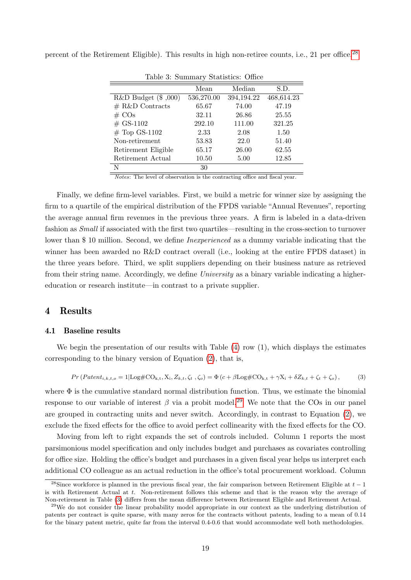<span id="page-18-1"></span>

| Table 3: Summary Statistics: Office |            |            |            |  |  |  |  |  |  |
|-------------------------------------|------------|------------|------------|--|--|--|--|--|--|
|                                     | S.D.       |            |            |  |  |  |  |  |  |
| $R&D$ Budget $(\$$ ,000)            | 536,270.00 | 394,194.22 | 468,614.23 |  |  |  |  |  |  |
| $# R&D$ Contracts                   | 65.67      | 74.00      | 47.19      |  |  |  |  |  |  |
| $\#\ \text{COs}$                    | 32.11      | 26.86      | 25.55      |  |  |  |  |  |  |
| $#$ GS-1102                         | 292.10     | 111.00     | 321.25     |  |  |  |  |  |  |
| $#$ Top GS-1102                     | 2.33       | 2.08       | 1.50       |  |  |  |  |  |  |
| Non-retirement                      | 53.83      | 22.0       | 51.40      |  |  |  |  |  |  |
| Retirement Eligible                 | 65.17      | 26.00      | 62.55      |  |  |  |  |  |  |
| Retirement Actual                   | 10.50      | 5.00       | 12.85      |  |  |  |  |  |  |
| N                                   | 30         |            |            |  |  |  |  |  |  |

percent of the Retirement Eligible). This results in high non-retiree counts, i.e., 21 per office.<sup>[28](#page-18-2)</sup>

Notes: The level of observation is the contracting office and fiscal year.

Finally, we define firm-level variables. First, we build a metric for winner size by assigning the firm to a quartile of the empirical distribution of the FPDS variable "Annual Revenues", reporting the average annual firm revenues in the previous three years. A firm is labeled in a data-driven fashion as Small if associated with the first two quartiles—resulting in the cross-section to turnover lower than \$10 million. Second, we define *Inexperienced* as a dummy variable indicating that the winner has been awarded no R&D contract overall (i.e., looking at the entire FPDS dataset) in the three years before. Third, we split suppliers depending on their business nature as retrieved from their string name. Accordingly, we define *University* as a binary variable indicating a highereducation or research institute—in contrast to a private supplier.

### <span id="page-18-0"></span>4 Results

#### <span id="page-18-5"></span>4.1 Baseline results

We begin the presentation of our results with Table  $(4)$  row  $(1)$ , which displays the estimates corresponding to the binary version of Equation [\(2\)](#page-10-0), that is,

<span id="page-18-4"></span>
$$
Pr(Patent_{i,k,t,o}=1|\text{Log}\# \text{CO}_{k,t}, X_i, Z_{k,t}, \zeta_t, \zeta_o) = \Phi(c+\beta \text{Log}\# \text{CO}_{k,t} + \gamma X_i + \delta Z_{k,t} + \zeta_t + \zeta_o), \tag{3}
$$

where  $\Phi$  is the cumulative standard normal distribution function. Thus, we estimate the binomial response to our variable of interest  $\beta$  via a probit model.<sup>[29](#page-18-3)</sup> We note that the COs in our panel are grouped in contracting units and never switch. Accordingly, in contrast to Equation [\(2\)](#page-10-0), we exclude the fixed effects for the office to avoid perfect collinearity with the fixed effects for the CO.

Moving from left to right expands the set of controls included. Column 1 reports the most parsimonious model specification and only includes budget and purchases as covariates controlling for office size. Holding the office's budget and purchases in a given fiscal year helps us interpret each additional CO colleague as an actual reduction in the office's total procurement workload. Column

<span id="page-18-2"></span><sup>&</sup>lt;sup>28</sup>Since workforce is planned in the previous fiscal year, the fair comparison between Retirement Eligible at  $t - 1$ is with Retirement Actual at t. Non-retirement follows this scheme and that is the reason why the average of Non-retirement in Table [\(3\)](#page-18-1) differs from the mean difference between Retirement Eligible and Retirement Actual.

<span id="page-18-3"></span><sup>&</sup>lt;sup>29</sup>We do not consider the linear probability model appropriate in our context as the underlying distribution of patents per contract is quite sparse, with many zeros for the contracts without patents, leading to a mean of 0.14 for the binary patent metric, quite far from the interval 0.4-0.6 that would accommodate well both methodologies.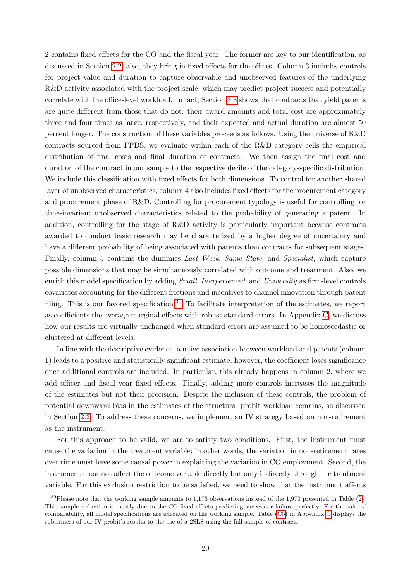2 contains fixed effects for the CO and the fiscal year. The former are key to our identification, as discussed in Section [2.2;](#page-6-3) also, they bring in fixed effects for the offices. Column 3 includes controls for project value and duration to capture observable and unobserved features of the underlying R&D activity associated with the project scale, which may predict project success and potentially correlate with the office-level workload. In fact, Section [3.3](#page-15-0) shows that contracts that yield patents are quite different from those that do not: their award amounts and total cost are approximately three and four times as large, respectively, and their expected and actual duration are almost 50 percent longer. The construction of these variables proceeds as follows. Using the universe of R&D contracts sourced from FPDS, we evaluate within each of the R&D category cells the empirical distribution of final costs and final duration of contracts. We then assign the final cost and duration of the contract in our sample to the respective decile of the category-specific distribution. We include this classification with fixed effects for both dimensions. To control for another shared layer of unobserved characteristics, column 4 also includes fixed effects for the procurement category and procurement phase of R&D. Controlling for procurement typology is useful for controlling for time-invariant unobserved characteristics related to the probability of generating a patent. In addition, controlling for the stage of R&D activity is particularly important because contracts awarded to conduct basic research may be characterized by a higher degree of uncertainty and have a different probability of being associated with patents than contracts for subsequent stages. Finally, column 5 contains the dummies Last Week, Same State, and Specialist, which capture possible dimensions that may be simultaneously correlated with outcome and treatment. Also, we enrich this model specification by adding *Small*, *Inexperienced*, and *University* as firm-level controls covariates accounting for the different frictions and incentives to channel innovation through patent filing. This is our favored specification.<sup>[30](#page-19-0)</sup> To facilitate interpretation of the estimates, we report as coefficients the average marginal effects with robust standard errors. In Appendix [C,](#page-40-0) we discuss how our results are virtually unchanged when standard errors are assumed to be homoscedastic or clustered at different levels.

In line with the descriptive evidence, a naive association between workload and patents (column 1) leads to a positive and statistically significant estimate; however, the coefficient loses significance once additional controls are included. In particular, this already happens in column 2, where we add officer and fiscal year fixed effects. Finally, adding more controls increases the magnitude of the estimates but not their precision. Despite the inclusion of these controls, the problem of potential downward bias in the estimates of the structural probit workload remains, as discussed in Section [2.2.](#page-6-3) To address these concerns, we implement an IV strategy based on non-retirement as the instrument.

For this approach to be valid, we are to satisfy two conditions. First, the instrument must cause the variation in the treatment variable; in other words, the variation in non-retirement rates over time must have some causal power in explaining the variation in CO employment. Second, the instrument must not affect the outcome variable directly but only indirectly through the treatment variable. For this exclusion restriction to be satisfied, we need to show that the instrument affects

<span id="page-19-0"></span> $30P$ lease note that the working sample amounts to 1,173 observations instead of the 1,970 presented in Table [\(2\)](#page-17-0). This sample reduction is mostly due to the CO fixed effects predicting success or failure perfectly. For the sake of comparability, all model specifications are executed on the working sample. Table [\(C5\)](#page-26-0) in Appendix [C](#page-40-0) displays the robustness of our IV probit's results to the use of a 2SLS using the full sample of contracts.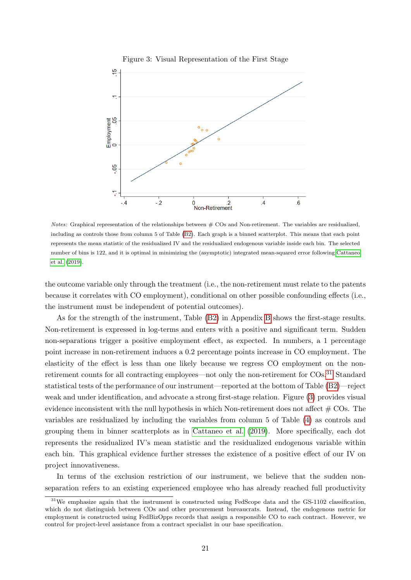<span id="page-20-1"></span>

Notes: Graphical representation of the relationships between  $#$  COs and Non-retirement. The variables are residualized, including as controls those from column 5 of Table [\(B2\)](#page-17-0). Each graph is a binned scatterplot. This means that each point represents the mean statistic of the residualized IV and the residualized endogenous variable inside each bin. The selected number of bins is 122, and it is optimal in minimizing the (asymptotic) integrated mean-squared error following [Cattaneo](#page-33-13) [et al.](#page-33-13) [\(2019\)](#page-33-13).

the outcome variable only through the treatment (i.e., the non-retirement must relate to the patents because it correlates with CO employment), conditional on other possible confounding effects (i.e., the instrument must be independent of potential outcomes).

As for the strength of the instrument, Table [\(B2\)](#page-17-0) in Appendix [B](#page-38-0) shows the first-stage results. Non-retirement is expressed in log-terms and enters with a positive and significant term. Sudden non-separations trigger a positive employment effect, as expected. In numbers, a 1 percentage point increase in non-retirement induces a 0.2 percentage points increase in CO employment. The elasticity of the effect is less than one likely because we regress CO employment on the non-retirement counts for all contracting employees—not only the non-retirement for COs.<sup>[31](#page-20-0)</sup> Standard statistical tests of the performance of our instrument—reported at the bottom of Table [\(B2\)](#page-17-0)—reject weak and under identification, and advocate a strong first-stage relation. Figure [\(3\)](#page-20-1) provides visual evidence inconsistent with the null hypothesis in which Non-retirement does not affect  $# \text{COs}$ . The variables are residualized by including the variables from column 5 of Table [\(4\)](#page-23-0) as controls and grouping them in binner scatterplots as in [Cattaneo et al.](#page-33-13) [\(2019\)](#page-33-13). More specifically, each dot represents the residualized IV's mean statistic and the residualized endogenous variable within each bin. This graphical evidence further stresses the existence of a positive effect of our IV on project innovativeness.

In terms of the exclusion restriction of our instrument, we believe that the sudden nonseparation refers to an existing experienced employee who has already reached full productivity

<span id="page-20-0"></span><sup>&</sup>lt;sup>31</sup>We emphasize again that the instrument is constructed using FedScope data and the GS-1102 classification, which do not distinguish between COs and other procurement bureaucrats. Instead, the endogenous metric for employment is constructed using FedBizOpps records that assign a responsible CO to each contract. However, we control for project-level assistance from a contract specialist in our base specification.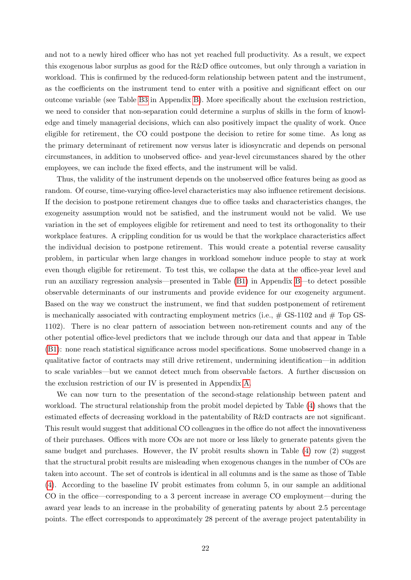and not to a newly hired officer who has not yet reached full productivity. As a result, we expect this exogenous labor surplus as good for the R&D office outcomes, but only through a variation in workload. This is confirmed by the reduced-form relationship between patent and the instrument, as the coefficients on the instrument tend to enter with a positive and significant effect on our outcome variable (see Table [B3](#page-18-1) in Appendix [B\)](#page-38-0). More specifically about the exclusion restriction, we need to consider that non-separation could determine a surplus of skills in the form of knowledge and timely managerial decisions, which can also positively impact the quality of work. Once eligible for retirement, the CO could postpone the decision to retire for some time. As long as the primary determinant of retirement now versus later is idiosyncratic and depends on personal circumstances, in addition to unobserved office- and year-level circumstances shared by the other employees, we can include the fixed effects, and the instrument will be valid.

Thus, the validity of the instrument depends on the unobserved office features being as good as random. Of course, time-varying office-level characteristics may also influence retirement decisions. If the decision to postpone retirement changes due to office tasks and characteristics changes, the exogeneity assumption would not be satisfied, and the instrument would not be valid. We use variation in the set of employees eligible for retirement and need to test its orthogonality to their workplace features. A crippling condition for us would be that the workplace characteristics affect the individual decision to postpone retirement. This would create a potential reverse causality problem, in particular when large changes in workload somehow induce people to stay at work even though eligible for retirement. To test this, we collapse the data at the office-year level and run an auxiliary regression analysis—presented in Table [\(B1\)](#page-17-1) in Appendix [B—](#page-38-0)to detect possible observable determinants of our instruments and provide evidence for our exogeneity argument. Based on the way we construct the instrument, we find that sudden postponement of retirement is mechanically associated with contracting employment metrics (i.e.,  $\#$  GS-1102 and  $\#$  Top GS-1102). There is no clear pattern of association between non-retirement counts and any of the other potential office-level predictors that we include through our data and that appear in Table [\(B1\)](#page-17-1): none reach statistical significance across model specifications. Some unobserved change in a qualitative factor of contracts may still drive retirement, undermining identification—in addition to scale variables—but we cannot detect much from observable factors. A further discussion on the exclusion restriction of our IV is presented in Appendix [A.](#page-36-0)

We can now turn to the presentation of the second-stage relationship between patent and workload. The structural relationship from the probit model depicted by Table [\(4\)](#page-23-0) shows that the estimated effects of decreasing workload in the patentability of R&D contracts are not significant. This result would suggest that additional CO colleagues in the office do not affect the innovativeness of their purchases. Offices with more COs are not more or less likely to generate patents given the same budget and purchases. However, the IV probit results shown in Table [\(4\)](#page-23-0) row (2) suggest that the structural probit results are misleading when exogenous changes in the number of COs are taken into account. The set of controls is identical in all columns and is the same as those of Table [\(4\)](#page-23-0). According to the baseline IV probit estimates from column 5, in our sample an additional CO in the office—corresponding to a 3 percent increase in average CO employment—during the award year leads to an increase in the probability of generating patents by about 2.5 percentage points. The effect corresponds to approximately 28 percent of the average project patentability in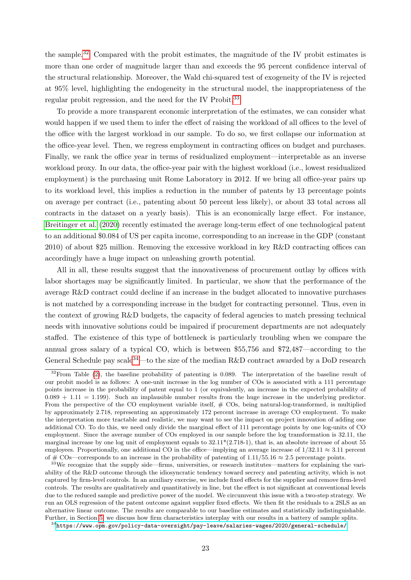the sample.[32](#page-22-0) Compared with the probit estimates, the magnitude of the IV probit estimates is more than one order of magnitude larger than and exceeds the 95 percent confidence interval of the structural relationship. Moreover, the Wald chi-squared test of exogeneity of the IV is rejected at 95% level, highlighting the endogeneity in the structural model, the inappropriateness of the regular probit regression, and the need for the IV Probit.<sup>[33](#page-22-1)</sup>

To provide a more transparent economic interpretation of the estimates, we can consider what would happen if we used them to infer the effect of raising the workload of all offices to the level of the office with the largest workload in our sample. To do so, we first collapse our information at the office-year level. Then, we regress employment in contracting offices on budget and purchases. Finally, we rank the office year in terms of residualized employment—interpretable as an inverse workload proxy. In our data, the office-year pair with the highest workload (i.e., lowest residualized employment) is the purchasing unit Rome Laboratory in 2012. If we bring all office-year pairs up to its workload level, this implies a reduction in the number of patents by 13 percentage points on average per contract (i.e., patenting about 50 percent less likely), or about 33 total across all contracts in the dataset on a yearly basis). This is an economically large effect. For instance, [Breitinger et al.](#page-32-10) [\(2020\)](#page-32-10) recently estimated the average long-term effect of one technological patent to an additional \$0.084 of US per capita income, corresponding to an increase in the GDP (constant 2010) of about \$25 million. Removing the excessive workload in key R&D contracting offices can accordingly have a huge impact on unleashing growth potential.

All in all, these results suggest that the innovativeness of procurement outlay by offices with labor shortages may be significantly limited. In particular, we show that the performance of the average R&D contract could decline if an increase in the budget allocated to innovative purchases is not matched by a corresponding increase in the budget for contracting personnel. Thus, even in the context of growing R&D budgets, the capacity of federal agencies to match pressing technical needs with innovative solutions could be impaired if procurement departments are not adequately staffed. The existence of this type of bottleneck is particularly troubling when we compare the annual gross salary of a typical CO, which is between \$55,756 and \$72,487—according to the General Schedule pay scale<sup>[34](#page-22-2)</sup>—to the size of the median R&D contract awarded by a DoD research

<span id="page-22-0"></span> $32$ From Table [\(2\)](#page-17-0), the baseline probability of patenting is 0.089. The interpretation of the baseline result of our probit model is as follows: A one-unit increase in the log number of COs is associated with a 111 percentage points increase in the probability of patent equal to 1 (or equivalently, an increase in the expected probability of  $0.089 + 1.11 = 1.199$ . Such an implausible number results from the huge increase in the underlying predictor. From the perspective of the CO employment variable itself,  $# \text{COs}$ , being natural-log-transformed, is multiplied by approximately 2.718, representing an approximately 172 percent increase in average CO employment. To make the interpretation more tractable and realistic, we may want to see the impact on project innovation of adding one additional CO. To do this, we need only divide the marginal effect of 111 percentage points by one log-units of CO employment. Since the average number of COs employed in our sample before the log transformation is 32.11, the marginal increase by one log unit of employment equals to  $32.11*(2.718-1)$ , that is, an absolute increase of about  $55$ employees. Proportionally, one additional CO in the office—implying an average increase of  $1/32.11 \approx 3.11$  percent of # COs—corresponds to an increase in the probability of patenting of  $1.11/55.16 \approx 2.5$  percentage points.

<span id="page-22-1"></span><sup>&</sup>lt;sup>33</sup>We recognize that the supply side—firms, universities, or research institutes—matters for explaining the variability of the R&D outcome through the idiosyncratic tendency toward secrecy and patenting activity, which is not captured by firm-level controls. In an auxiliary exercise, we include fixed effects for the supplier and remove firm-level controls. The results are qualitatively and quantitatively in line, but the effect is not significant at conventional levels due to the reduced sample and predictive power of the model. We circumvent this issue with a two-step strategy. We run an OLS regression of the patent outcome against supplier fixed effects. We then fit the residuals to a 2SLS as an alternative linear outcome. The results are comparable to our baseline estimates and statistically indistinguishable. Further, in Section [5,](#page-27-0) we discuss how firm characteristics interplay with our results in a battery of sample splits.

<span id="page-22-2"></span> $34$ <https://www.opm.gov/policy-data-oversight/pay-leave/salaries-wages/2020/general-schedule/>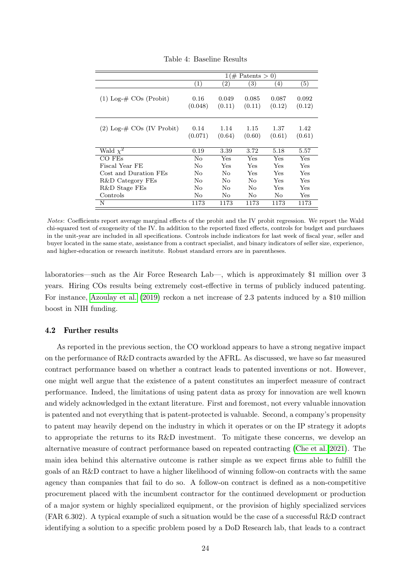|                                 | $\mathbb{1}(\#$ Patents > 0) |                   |                 |                  |                 |  |  |  |
|---------------------------------|------------------------------|-------------------|-----------------|------------------|-----------------|--|--|--|
|                                 | $\left( 1\right)$            | $\left( 2\right)$ | 3)              | $\left(4\right)$ | (5)             |  |  |  |
| $(1)$ Log- $\#$ COs (Probit)    | 0.16<br>(0.048)              | 0.049<br>(0.11)   | 0.085<br>(0.11) | 0.087<br>(0.12)  | 0.092<br>(0.12) |  |  |  |
| $(2)$ Log- $\#$ COs (IV Probit) | 0.14<br>(0.071)              | 1.14<br>(0.64)    | 1.15<br>(0.60)  | 1.37<br>(0.61)   | 1.42<br>(0.61)  |  |  |  |
| Wald $\chi^2$                   | 0.19                         | 3.39              | 3.72            | 5.18             | 5.57            |  |  |  |
| CO FEs                          | No                           | Yes               | Yes             | Yes              | Yes             |  |  |  |
| Fiscal Year FE                  | No                           | Yes               | Yes             | Yes              | Yes             |  |  |  |
| Cost and Duration FEs           | No                           | $N_{\Omega}$      | Yes             | Yes              | Yes             |  |  |  |
| R&D Category FEs                | $\rm No$                     | No                | No              | Yes              | Yes             |  |  |  |
| R&D Stage FEs                   | No                           | N <sub>0</sub>    | No              | Yes              | Yes             |  |  |  |
| Controls                        | $\rm No$                     | No.               | No.             | No               | Yes             |  |  |  |
| N                               | 1173                         | 1173              | 1173            | 1173             | 1173            |  |  |  |

<span id="page-23-0"></span>Table 4: Baseline Results

Notes: Coefficients report average marginal effects of the probit and the IV probit regression. We report the Wald chi-squared test of exogeneity of the IV. In addition to the reported fixed effects, controls for budget and purchases in the unit-year are included in all specifications. Controls include indicators for last week of fiscal year, seller and buyer located in the same state, assistance from a contract specialist, and binary indicators of seller size, experience, and higher-education or research institute. Robust standard errors are in parentheses.

laboratories—such as the Air Force Research Lab—, which is approximately \$1 million over 3 years. Hiring COs results being extremely cost-effective in terms of publicly induced patenting. For instance, [Azoulay et al.](#page-32-11) [\(2019\)](#page-32-11) reckon a net increase of 2.3 patents induced by a \$10 million boost in NIH funding.

#### 4.2 Further results

As reported in the previous section, the CO workload appears to have a strong negative impact on the performance of R&D contracts awarded by the AFRL. As discussed, we have so far measured contract performance based on whether a contract leads to patented inventions or not. However, one might well argue that the existence of a patent constitutes an imperfect measure of contract performance. Indeed, the limitations of using patent data as proxy for innovation are well known and widely acknowledged in the extant literature. First and foremost, not every valuable innovation is patented and not everything that is patent-protected is valuable. Second, a company's propensity to patent may heavily depend on the industry in which it operates or on the IP strategy it adopts to appropriate the returns to its R&D investment. To mitigate these concerns, we develop an alternative measure of contract performance based on repeated contracting [\(Che et al. 2021\)](#page-33-7). The main idea behind this alternative outcome is rather simple as we expect firms able to fulfill the goals of an R&D contract to have a higher likelihood of winning follow-on contracts with the same agency than companies that fail to do so. A follow-on contract is defined as a non-competitive procurement placed with the incumbent contractor for the continued development or production of a major system or highly specialized equipment, or the provision of highly specialized services (FAR 6.302). A typical example of such a situation would be the case of a successful R&D contract identifying a solution to a specific problem posed by a DoD Research lab, that leads to a contract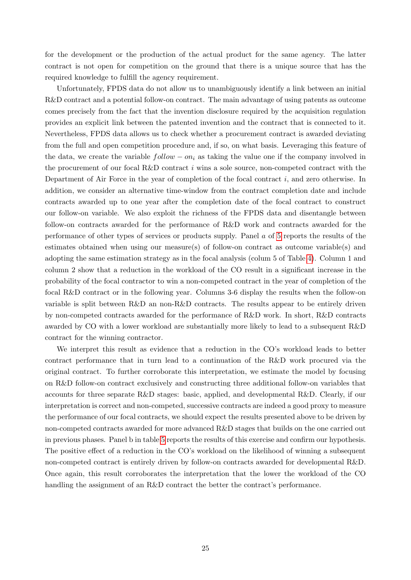for the development or the production of the actual product for the same agency. The latter contract is not open for competition on the ground that there is a unique source that has the required knowledge to fulfill the agency requirement.

Unfortunately, FPDS data do not allow us to unambiguously identify a link between an initial R&D contract and a potential follow-on contract. The main advantage of using patents as outcome comes precisely from the fact that the invention disclosure required by the acquisition regulation provides an explicit link between the patented invention and the contract that is connected to it. Nevertheless, FPDS data allows us to check whether a procurement contract is awarded deviating from the full and open competition procedure and, if so, on what basis. Leveraging this feature of the data, we create the variable  $follow - on_i$  as taking the value one if the company involved in the procurement of our focal R&D contract  $i$  wins a sole source, non-competed contract with the Department of Air Force in the year of completion of the focal contract i, and zero otherwise. In addition, we consider an alternative time-window from the contract completion date and include contracts awarded up to one year after the completion date of the focal contract to construct our follow-on variable. We also exploit the richness of the FPDS data and disentangle between follow-on contracts awarded for the performance of R&D work and contracts awarded for the performance of other types of services or products supply. Panel a of [5](#page-26-0) reports the results of the estimates obtained when using our measure(s) of follow-on contract as outcome variable(s) and adopting the same estimation strategy as in the focal analysis (colum 5 of Table [4\)](#page-23-0). Column 1 and column 2 show that a reduction in the workload of the CO result in a significant increase in the probability of the focal contractor to win a non-competed contract in the year of completion of the focal R&D contract or in the following year. Columns 3-6 display the results when the follow-on variable is split between R&D an non-R&D contracts. The results appear to be entirely driven by non-competed contracts awarded for the performance of R&D work. In short, R&D contracts awarded by CO with a lower workload are substantially more likely to lead to a subsequent R&D contract for the winning contractor.

We interpret this result as evidence that a reduction in the CO's workload leads to better contract performance that in turn lead to a continuation of the R&D work procured via the original contract. To further corroborate this interpretation, we estimate the model by focusing on R&D follow-on contract exclusively and constructing three additional follow-on variables that accounts for three separate R&D stages: basic, applied, and developmental R&D. Clearly, if our interpretation is correct and non-competed, successive contracts are indeed a good proxy to measure the performance of our focal contracts, we should expect the results presented above to be driven by non-competed contracts awarded for more advanced R&D stages that builds on the one carried out in previous phases. Panel b in table [5](#page-26-0) reports the results of this exercise and confirm our hypothesis. The positive effect of a reduction in the CO's workload on the likelihood of winning a subsequent non-competed contract is entirely driven by follow-on contracts awarded for developmental R&D. Once again, this result corroborates the interpretation that the lower the workload of the CO handling the assignment of an R&D contract the better the contract's performance.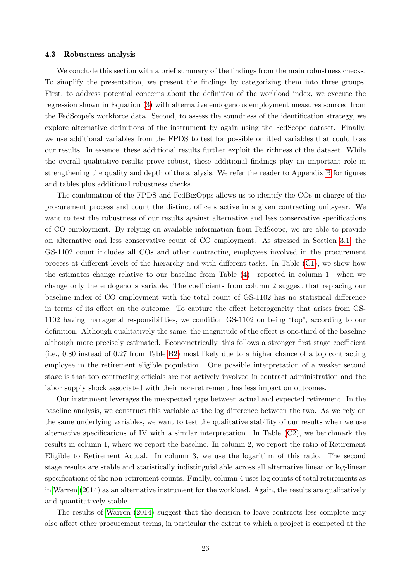#### <span id="page-25-0"></span>4.3 Robustness analysis

We conclude this section with a brief summary of the findings from the main robustness checks. To simplify the presentation, we present the findings by categorizing them into three groups. First, to address potential concerns about the definition of the workload index, we execute the regression shown in Equation [\(3\)](#page-18-4) with alternative endogenous employment measures sourced from the FedScope's workforce data. Second, to assess the soundness of the identification strategy, we explore alternative definitions of the instrument by again using the FedScope dataset. Finally, we use additional variables from the FPDS to test for possible omitted variables that could bias our results. In essence, these additional results further exploit the richness of the dataset. While the overall qualitative results prove robust, these additional findings play an important role in strengthening the quality and depth of the analysis. We refer the reader to Appendix [B](#page-38-0) for figures and tables plus additional robustness checks.

The combination of the FPDS and FedBizOpps allows us to identify the COs in charge of the procurement process and count the distinct officers active in a given contracting unit-year. We want to test the robustness of our results against alternative and less conservative specifications of CO employment. By relying on available information from FedScope, we are able to provide an alternative and less conservative count of CO employment. As stressed in Section [3.1,](#page-11-1) the GS-1102 count includes all COs and other contracting employees involved in the procurement process at different levels of the hierarchy and with different tasks. In Table [\(C1\)](#page-17-1), we show how the estimates change relative to our baseline from Table [\(4\)](#page-23-0)—reported in column 1—when we change only the endogenous variable. The coefficients from column 2 suggest that replacing our baseline index of CO employment with the total count of GS-1102 has no statistical difference in terms of its effect on the outcome. To capture the effect heterogeneity that arises from GS-1102 having managerial responsibilities, we condition GS-1102 on being "top", according to our definition. Although qualitatively the same, the magnitude of the effect is one-third of the baseline although more precisely estimated. Econometrically, this follows a stronger first stage coefficient (i.e., 0.80 instead of 0.27 from Table [B2\)](#page-17-0) most likely due to a higher chance of a top contracting employee in the retirement eligible population. One possible interpretation of a weaker second stage is that top contracting officials are not actively involved in contract administration and the labor supply shock associated with their non-retirement has less impact on outcomes.

Our instrument leverages the unexpected gaps between actual and expected retirement. In the baseline analysis, we construct this variable as the log difference between the two. As we rely on the same underlying variables, we want to test the qualitative stability of our results when we use alternative specifications of IV with a similar interpretation. In Table  $(C2)$ , we benchmark the results in column 1, where we report the baseline. In column 2, we report the ratio of Retirement Eligible to Retirement Actual. In column 3, we use the logarithm of this ratio. The second stage results are stable and statistically indistinguishable across all alternative linear or log-linear specifications of the non-retirement counts. Finally, column 4 uses log counts of total retirements as in [Warren](#page-35-2) [\(2014\)](#page-35-2) as an alternative instrument for the workload. Again, the results are qualitatively and quantitatively stable.

The results of [Warren](#page-35-2) [\(2014\)](#page-35-2) suggest that the decision to leave contracts less complete may also affect other procurement terms, in particular the extent to which a project is competed at the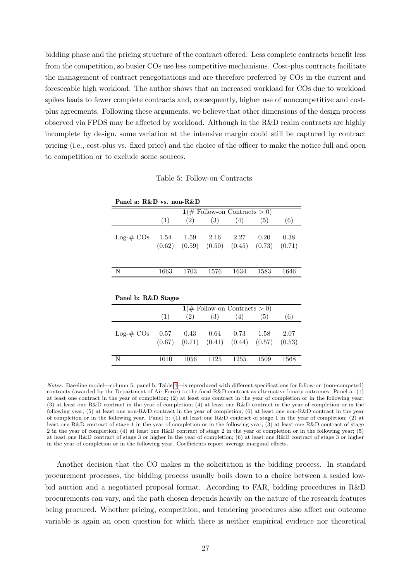bidding phase and the pricing structure of the contract offered. Less complete contracts benefit less from the competition, so busier COs use less competitive mechanisms. Cost-plus contracts facilitate the management of contract renegotiations and are therefore preferred by COs in the current and foreseeable high workload. The author shows that an increased workload for COs due to workload spikes leads to fewer complete contracts and, consequently, higher use of noncompetitive and costplus agreements. Following these arguments, we believe that other dimensions of the design process observed via FPDS may be affected by workload. Although in the R&D realm contracts are highly incomplete by design, some variation at the intensive margin could still be captured by contract pricing (i.e., cost-plus vs. fixed price) and the choice of the officer to make the notice full and open to competition or to exclude some sources.

#### <span id="page-26-0"></span>Table 5: Follow-on Contracts

| Panel a: R&D vs. non-R&D |                                        |      |                                                                                      |      |      |      |  |  |  |  |  |
|--------------------------|----------------------------------------|------|--------------------------------------------------------------------------------------|------|------|------|--|--|--|--|--|
|                          | $1(\text{\# Follow-on contracts} > 0)$ |      |                                                                                      |      |      |      |  |  |  |  |  |
|                          | (1)                                    | (2)  | (3)                                                                                  | (4)  | (5)  | (6)  |  |  |  |  |  |
| $Log-# COs$              |                                        |      | $1.54$ $1.59$ $2.16$ $2.27$<br>$(0.62)$ $(0.59)$ $(0.50)$ $(0.45)$ $(0.73)$ $(0.71)$ |      | 0.20 | 0.38 |  |  |  |  |  |
| N                        | 1663                                   | 1703 | 1576                                                                                 | 1634 | 1583 | 1646 |  |  |  |  |  |

| Panel b: R&D Stages |      |      |                                                               |      |      |      |
|---------------------|------|------|---------------------------------------------------------------|------|------|------|
|                     |      |      | $1(\text{\# Follow-on contracts} > 0)$                        |      |      |      |
|                     | (1)  | (2)  | (3)                                                           | (4)  | (5)  | (6)  |
| $Log-# COs$         | 0.57 | 0.43 | 0.64<br>$(0.67)$ $(0.71)$ $(0.41)$ $(0.44)$ $(0.57)$ $(0.53)$ | 0.73 | 1.58 | 2.07 |
| N                   | 1010 | 1056 | 1125                                                          | 1255 | 1509 | 1568 |

Notes: Baseline model—column 5, panel b, Table [4—](#page-23-0)is reproduced with different specifications for follow-on (non-competed) contracts (awarded by the Department of Air Force) to the focal R&D contract as alternative binary outcomes. Panel a: (1) at least one contract in the year of completion; (2) at least one contract in the year of completion or in the following year; (3) at least one R&D contract in the year of completion; (4) at least one R&D contract in the year of completion or in the following year; (5) at least one non-R&D contract in the year of completion; (6) at least one non-R&D contract in the year of completion or in the following year. Panel b: (1) at least one R&D contract of stage 1 in the year of completion; (2) at least one R&D contract of stage 1 in the year of completion or in the following year; (3) at least one R&D contract of stage 2 in the year of completion; (4) at least one R&D contract of stage 2 in the year of completion or in the following year; (5) at least one R&D contract of stage 3 or higher in the year of completion; (6) at least one R&D contract of stage 3 or higher in the year of completion or in the following year. Coefficients report average marginal effects.

Another decision that the CO makes in the solicitation is the bidding process. In standard procurement processes, the bidding process usually boils down to a choice between a sealed lowbid auction and a negotiated proposal format. According to FAR, bidding procedures in R&D procurements can vary, and the path chosen depends heavily on the nature of the research features being procured. Whether pricing, competition, and tendering procedures also affect our outcome variable is again an open question for which there is neither empirical evidence nor theoretical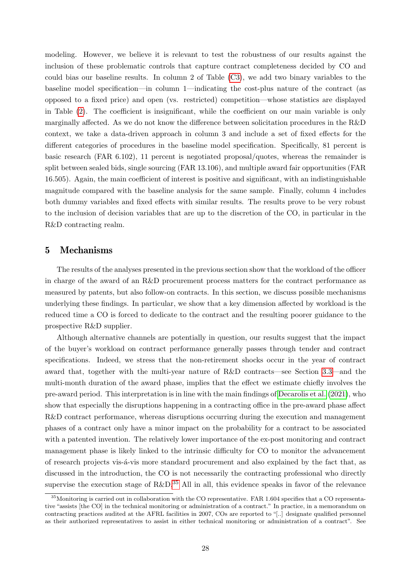modeling. However, we believe it is relevant to test the robustness of our results against the inclusion of these problematic controls that capture contract completeness decided by CO and could bias our baseline results. In column 2 of Table [\(C3\)](#page-18-1), we add two binary variables to the baseline model specification—in column 1—indicating the cost-plus nature of the contract (as opposed to a fixed price) and open (vs. restricted) competition—whose statistics are displayed in Table [\(2\)](#page-17-0). The coefficient is insignificant, while the coefficient on our main variable is only marginally affected. As we do not know the difference between solicitation procedures in the R&D context, we take a data-driven approach in column 3 and include a set of fixed effects for the different categories of procedures in the baseline model specification. Specifically, 81 percent is basic research (FAR 6.102), 11 percent is negotiated proposal/quotes, whereas the remainder is split between sealed bids, single sourcing (FAR 13.106), and multiple award fair opportunities (FAR 16.505). Again, the main coefficient of interest is positive and significant, with an indistinguishable magnitude compared with the baseline analysis for the same sample. Finally, column 4 includes both dummy variables and fixed effects with similar results. The results prove to be very robust to the inclusion of decision variables that are up to the discretion of the CO, in particular in the R&D contracting realm.

## <span id="page-27-0"></span>5 Mechanisms

The results of the analyses presented in the previous section show that the workload of the officer in charge of the award of an R&D procurement process matters for the contract performance as measured by patents, but also follow-on contracts. In this section, we discuss possible mechanisms underlying these findings. In particular, we show that a key dimension affected by workload is the reduced time a CO is forced to dedicate to the contract and the resulting poorer guidance to the prospective R&D supplier.

Although alternative channels are potentially in question, our results suggest that the impact of the buyer's workload on contract performance generally passes through tender and contract specifications. Indeed, we stress that the non-retirement shocks occur in the year of contract award that, together with the multi-year nature of R&D contracts—see Section [3.3—](#page-15-0)and the multi-month duration of the award phase, implies that the effect we estimate chiefly involves the pre-award period. This interpretation is in line with the main findings of [Decarolis et al.](#page-33-5) [\(2021\)](#page-33-5), who show that especially the disruptions happening in a contracting office in the pre-award phase affect R&D contract performance, whereas disruptions occurring during the execution and management phases of a contract only have a minor impact on the probability for a contract to be associated with a patented invention. The relatively lower importance of the ex-post monitoring and contract management phase is likely linked to the intrinsic difficulty for CO to monitor the advancement of research projects vis- $\acute{a}$ -vis more standard procurement and also explained by the fact that, as discussed in the introduction, the CO is not necessarily the contracting professional who directly supervise the execution stage of  $R\&D^{35}$  $R\&D^{35}$  $R\&D^{35}$  All in all, this evidence speaks in favor of the relevance

<span id="page-27-1"></span> $35$ Monitoring is carried out in collaboration with the CO representative. FAR 1.604 specifies that a CO representative "assists [the CO] in the technical monitoring or administration of a contract." In practice, in a memorandum on contracting practices audited at the AFRL facilities in 2007, COs are reported to "[..] designate qualified personnel as their authorized representatives to assist in either technical monitoring or administration of a contract". See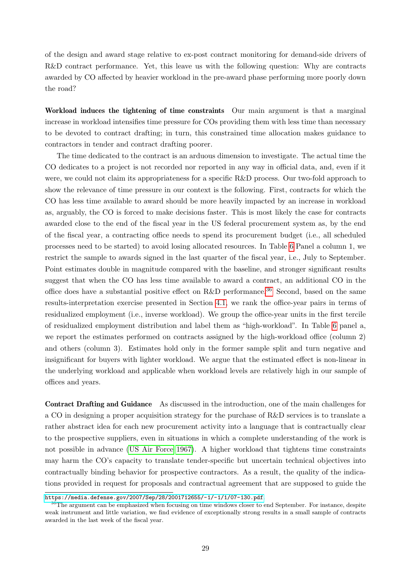of the design and award stage relative to ex-post contract monitoring for demand-side drivers of R&D contract performance. Yet, this leave us with the following question: Why are contracts awarded by CO affected by heavier workload in the pre-award phase performing more poorly down the road?

Workload induces the tightening of time constraints Our main argument is that a marginal increase in workload intensifies time pressure for COs providing them with less time than necessary to be devoted to contract drafting; in turn, this constrained time allocation makes guidance to contractors in tender and contract drafting poorer.

The time dedicated to the contract is an arduous dimension to investigate. The actual time the CO dedicates to a project is not recorded nor reported in any way in official data, and, even if it were, we could not claim its appropriateness for a specific R&D process. Our two-fold approach to show the relevance of time pressure in our context is the following. First, contracts for which the CO has less time available to award should be more heavily impacted by an increase in workload as, arguably, the CO is forced to make decisions faster. This is most likely the case for contracts awarded close to the end of the fiscal year in the US federal procurement system as, by the end of the fiscal year, a contracting office needs to spend its procurement budget (i.e., all scheduled processes need to be started) to avoid losing allocated resources. In Table [6](#page-29-0) Panel a column 1, we restrict the sample to awards signed in the last quarter of the fiscal year, i.e., July to September. Point estimates double in magnitude compared with the baseline, and stronger significant results suggest that when the CO has less time available to award a contract, an additional CO in the office does have a substantial positive effect on R&D performance.<sup>[36](#page-28-0)</sup> Second, based on the same results-interpretation exercise presented in Section [4.1,](#page-18-5) we rank the office-year pairs in terms of residualized employment (i.e., inverse workload). We group the office-year units in the first tercile of residualized employment distribution and label them as "high-workload". In Table [6](#page-29-0) panel a, we report the estimates performed on contracts assigned by the high-workload office (column 2) and others (column 3). Estimates hold only in the former sample split and turn negative and insignificant for buyers with lighter workload. We argue that the estimated effect is non-linear in the underlying workload and applicable when workload levels are relatively high in our sample of offices and years.

Contract Drafting and Guidance As discussed in the introduction, one of the main challenges for a CO in designing a proper acquisition strategy for the purchase of R&D services is to translate a rather abstract idea for each new procurement activity into a language that is contractually clear to the prospective suppliers, even in situations in which a complete understanding of the work is not possible in advance [\(US Air Force 1967\)](#page-35-3). A higher workload that tightens time constraints may harm the CO's capacity to translate tender-specific but uncertain technical objectives into contractually binding behavior for prospective contractors. As a result, the quality of the indications provided in request for proposals and contractual agreement that are supposed to guide the

<https://media.defense.gov/2007/Sep/28/2001712655/-1/-1/1/07-130.pdf>.

<span id="page-28-0"></span> $36$ The argument can be emphasized when focusing on time windows closer to end September. For instance, despite weak instrument and little variation, we find evidence of exceptionally strong results in a small sample of contracts awarded in the last week of the fiscal year.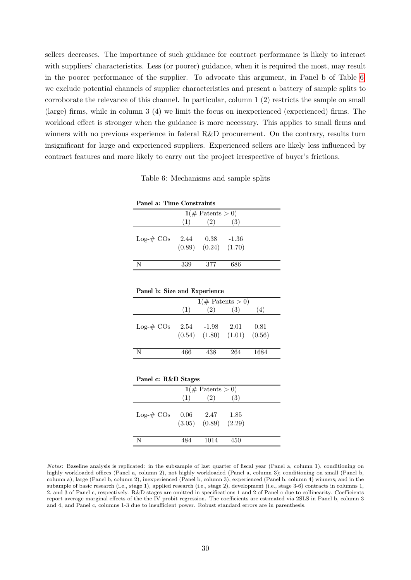sellers decreases. The importance of such guidance for contract performance is likely to interact with suppliers' characteristics. Less (or poorer) guidance, when it is required the most, may result in the poorer performance of the supplier. To advocate this argument, in Panel b of Table [6,](#page-29-0) we exclude potential channels of supplier characteristics and present a battery of sample splits to corroborate the relevance of this channel. In particular, column 1 (2) restricts the sample on small (large) firms, while in column 3 (4) we limit the focus on inexperienced (experienced) firms. The workload effect is stronger when the guidance is more necessary. This applies to small firms and winners with no previous experience in federal R&D procurement. On the contrary, results turn insignificant for large and experienced suppliers. Experienced sellers are likely less influenced by contract features and more likely to carry out the project irrespective of buyer's frictions.

| Panel a: Time Constraints |  |  |  |
|---------------------------|--|--|--|

<span id="page-29-0"></span>Table 6: Mechanisms and sample splits

| $1(\text{\# Patents} > 0)$ |     |                                                     |     |  |  |  |  |  |  |
|----------------------------|-----|-----------------------------------------------------|-----|--|--|--|--|--|--|
|                            | (1) | (2)                                                 | (3) |  |  |  |  |  |  |
| $Log-# COs$                |     | $2.44$ $0.38$ $-1.36$<br>$(0.89)$ $(0.24)$ $(1.70)$ |     |  |  |  |  |  |  |
| N                          | 339 | 377                                                 | 686 |  |  |  |  |  |  |

| Panel b: Size and Experience |      |       |                                             |      |  |  |  |  |  |
|------------------------------|------|-------|---------------------------------------------|------|--|--|--|--|--|
| $1 \times$ Patents > 0)      |      |       |                                             |      |  |  |  |  |  |
|                              | (1)  | (2)   | (3)                                         | (4)  |  |  |  |  |  |
| $Log-# COS$                  | 2.54 | -1.98 | 2.01<br>$(0.54)$ $(1.80)$ $(1.01)$ $(0.56)$ | 0.81 |  |  |  |  |  |
| N                            | 466  | 438   | 264                                         | 1684 |  |  |  |  |  |

| Panel c: R&D Stages        |      |                                                    |     |  |  |  |  |  |
|----------------------------|------|----------------------------------------------------|-----|--|--|--|--|--|
| $1(\text{\# Patents} > 0)$ |      |                                                    |     |  |  |  |  |  |
|                            | (1)  | (2)                                                | (3) |  |  |  |  |  |
| $Log-# COS$                |      | $0.06$ $2.47$ $1.85$<br>$(3.05)$ $(0.89)$ $(2.29)$ |     |  |  |  |  |  |
| N                          | 484. | 1014                                               | 450 |  |  |  |  |  |

Notes: Baseline analysis is replicated: in the subsample of last quarter of fiscal year (Panel a, column 1), conditioning on highly workloaded offices (Panel a, column 2), not highly workloaded (Panel a, column 3); conditioning on small (Panel b, column a), large (Panel b, column 2), inexperienced (Panel b, column 3), experienced (Panel b, column 4) winners; and in the subample of basic research (i.e., stage 1), applied research (i.e., stage 2), development (i.e., stage 3-6) contracts in columns 1, 2, and 3 of Panel c, respectively. R&D stages are omitted in specifications 1 and 2 of Panel c due to collinearity. Coefficients report average marginal effects of the the IV probit regression. The coefficients are estimated via 2SLS in Panel b, column 3 and 4, and Panel c, columns 1-3 due to insufficient power. Robust standard errors are in parenthesis.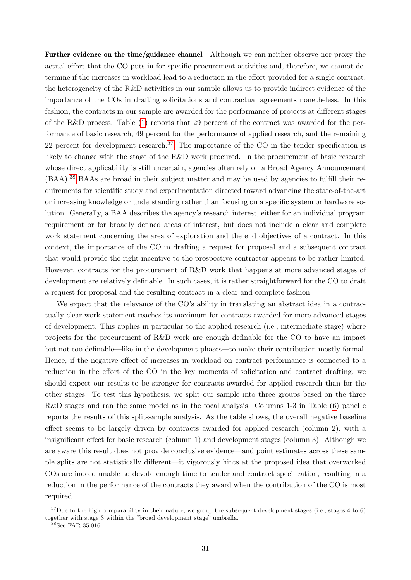Further evidence on the time/guidance channel Although we can neither observe nor proxy the actual effort that the CO puts in for specific procurement activities and, therefore, we cannot determine if the increases in workload lead to a reduction in the effort provided for a single contract, the heterogeneity of the R&D activities in our sample allows us to provide indirect evidence of the importance of the COs in drafting solicitations and contractual agreements nonetheless. In this fashion, the contracts in our sample are awarded for the performance of projects at different stages of the R&D process. Table [\(1\)](#page-17-1) reports that 29 percent of the contract was awarded for the performance of basic research, 49 percent for the performance of applied research, and the remaining 22 percent for development research.<sup>[37](#page-30-0)</sup> The importance of the CO in the tender specification is likely to change with the stage of the R&D work procured. In the procurement of basic research whose direct applicability is still uncertain, agencies often rely on a Broad Agency Announcement (BAA).[38](#page-30-1) BAAs are broad in their subject matter and may be used by agencies to fulfill their requirements for scientific study and experimentation directed toward advancing the state-of-the-art or increasing knowledge or understanding rather than focusing on a specific system or hardware solution. Generally, a BAA describes the agency's research interest, either for an individual program requirement or for broadly defined areas of interest, but does not include a clear and complete work statement concerning the area of exploration and the end objectives of a contract. In this context, the importance of the CO in drafting a request for proposal and a subsequent contract that would provide the right incentive to the prospective contractor appears to be rather limited. However, contracts for the procurement of R&D work that happens at more advanced stages of development are relatively definable. In such cases, it is rather straightforward for the CO to draft a request for proposal and the resulting contract in a clear and complete fashion.

We expect that the relevance of the CO's ability in translating an abstract idea in a contractually clear work statement reaches its maximum for contracts awarded for more advanced stages of development. This applies in particular to the applied research (i.e., intermediate stage) where projects for the procurement of R&D work are enough definable for the CO to have an impact but not too definable—like in the development phases—to make their contribution mostly formal. Hence, if the negative effect of increases in workload on contract performance is connected to a reduction in the effort of the CO in the key moments of solicitation and contract drafting, we should expect our results to be stronger for contracts awarded for applied research than for the other stages. To test this hypothesis, we split our sample into three groups based on the three R&D stages and ran the same model as in the focal analysis. Columns 1-3 in Table [\(6\)](#page-29-0) panel c reports the results of this split-sample analysis. As the table shows, the overall negative baseline effect seems to be largely driven by contracts awarded for applied research (column 2), with a insignificant effect for basic research (column 1) and development stages (column 3). Although we are aware this result does not provide conclusive evidence—and point estimates across these sample splits are not statistically different—it vigorously hints at the proposed idea that overworked COs are indeed unable to devote enough time to tender and contract specification, resulting in a reduction in the performance of the contracts they award when the contribution of the CO is most required.

<span id="page-30-0"></span> $37$ Due to the high comparability in their nature, we group the subsequent development stages (i.e., stages 4 to 6) together with stage 3 within the "broad development stage" umbrella.

<span id="page-30-1"></span> $38$ See FAR 35.016.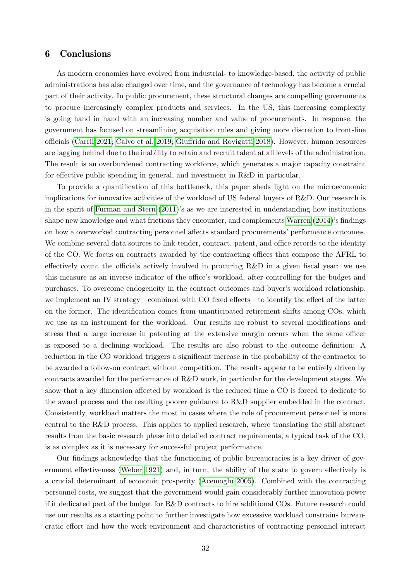## <span id="page-31-0"></span>6 Conclusions

As modern economies have evolved from industrial- to knowledge-based, the activity of public administrations has also changed over time, and the governance of technology has become a crucial part of their activity. In public procurement, these structural changes are compelling governments to procure increasingly complex products and services. In the US, this increasing complexity is going hand in hand with an increasing number and value of procurements. In response, the government has focused on streamlining acquisition rules and giving more discretion to front-line officials [\(Carril 2021;](#page-33-12) [Calvo et al. 2019;](#page-33-14) [Giuffrida and Rovigatti 2018\)](#page-34-5). However, human resources are lagging behind due to the inability to retain and recruit talent at all levels of the administration. The result is an overburdened contracting workforce, which generates a major capacity constraint for effective public spending in general, and investment in R&D in particular.

To provide a quantification of this bottleneck, this paper sheds light on the microeconomic implications for innovative activities of the workload of US federal buyers of R&D. Our research is in the spirit of [Furman and Stern](#page-34-13) [\(2011\)](#page-34-13)'s as we are interested in understanding how institutions shape new knowledge and what frictions they encounter, and complements [Warren](#page-35-2) [\(2014\)](#page-35-2)'s findings on how a overworked contracting personnel affects standard procurements' performance outcomes. We combine several data sources to link tender, contract, patent, and office records to the identity of the CO. We focus on contracts awarded by the contracting offices that compose the AFRL to effectively count the officials actively involved in procuring R&D in a given fiscal year: we use this measure as an inverse indicator of the office's workload, after controlling for the budget and purchases. To overcome endogeneity in the contract outcomes and buyer's workload relationship, we implement an IV strategy—combined with CO fixed effects—to identify the effect of the latter on the former. The identification comes from unanticipated retirement shifts among COs, which we use as an instrument for the workload. Our results are robust to several modifications and stress that a large increase in patenting at the extensive margin occurs when the same officer is exposed to a declining workload. The results are also robust to the outcome definition: A reduction in the CO workload triggers a significant increase in the probability of the contractor to be awarded a follow-on contract without competition. The results appear to be entirely driven by contracts awarded for the performance of R&D work, in particular for the development stages. We show that a key dimension affected by workload is the reduced time a CO is forced to dedicate to the award process and the resulting poorer guidance to R&D supplier embedded in the contract. Consistently, workload matters the most in cases where the role of procurement personnel is more central to the R&D process. This applies to applied research, where translating the still abstract results from the basic research phase into detailed contract requirements, a typical task of the CO, is as complex as it is necessary for successful project performance.

Our findings acknowledge that the functioning of public bureaucracies is a key driver of government effectiveness [\(Weber 1921\)](#page-35-5) and, in turn, the ability of the state to govern effectively is a crucial determinant of economic prosperity [\(Acemoglu 2005\)](#page-32-12). Combined with the contracting personnel costs, we suggest that the government would gain considerably further innovation power if it dedicated part of the budget for R&D contracts to hire additional COs. Future research could use our results as a starting point to further investigate how excessive workload constrains bureaucratic effort and how the work environment and characteristics of contracting personnel interact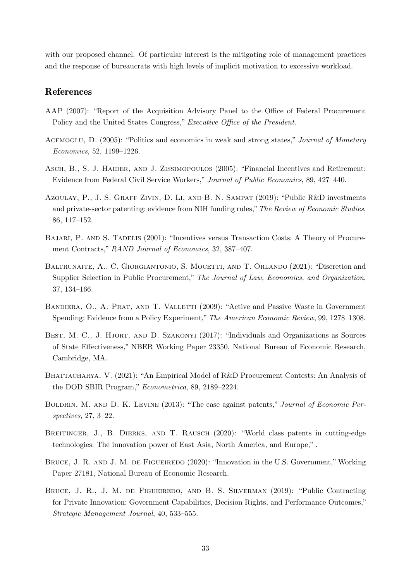with our proposed channel. Of particular interest is the mitigating role of management practices and the response of bureaucrats with high levels of implicit motivation to excessive workload.

## References

- <span id="page-32-5"></span>AAP (2007): "Report of the Acquisition Advisory Panel to the Office of Federal Procurement Policy and the United States Congress," Executive Office of the President.
- <span id="page-32-12"></span>ACEMOGLU, D. (2005): "Politics and economics in weak and strong states," Journal of Monetary Economics, 52, 1199–1226.
- <span id="page-32-7"></span>Asch, B., S. J. Haider, and J. Zissimopoulos (2005): "Financial Incentives and Retirement: Evidence from Federal Civil Service Workers," Journal of Public Economics, 89, 427–440.
- <span id="page-32-11"></span>Azoulay, P., J. S. Graff Zivin, D. Li, and B. N. Sampat (2019): "Public R&D investments and private-sector patenting: evidence from NIH funding rules," The Review of Economic Studies, 86, 117–152.
- <span id="page-32-9"></span>Bajari, P. and S. Tadelis (2001): "Incentives versus Transaction Costs: A Theory of Procurement Contracts," RAND Journal of Economics, 32, 387–407.
- <span id="page-32-2"></span>Baltrunaite, A., C. Giorgiantonio, S. Mocetti, and T. Orlando (2021): "Discretion and Supplier Selection in Public Procurement," The Journal of Law, Economics, and Organization, 37, 134–166.
- <span id="page-32-4"></span>BANDIERA, O., A. PRAT, AND T. VALLETTI (2009): "Active and Passive Waste in Government Spending: Evidence from a Policy Experiment," The American Economic Review, 99, 1278–1308.
- <span id="page-32-1"></span>BEST, M. C., J. HJORT, AND D. SZAKONYI (2017): "Individuals and Organizations as Sources of State Effectiveness," NBER Working Paper 23350, National Bureau of Economic Research, Cambridge, MA.
- <span id="page-32-8"></span>BHATTACHARYA, V. (2021): "An Empirical Model of R&D Procurement Contests: An Analysis of the DOD SBIR Program," Econometrica, 89, 2189–2224.
- <span id="page-32-6"></span>BOLDRIN, M. AND D. K. LEVINE (2013): "The case against patents," Journal of Economic Perspectives, 27, 3–22.
- <span id="page-32-10"></span>BREITINGER, J., B. DIERKS, AND T. RAUSCH (2020): "World class patents in cutting-edge technologies: The innovation power of East Asia, North America, and Europe," .
- <span id="page-32-0"></span>BRUCE, J. R. AND J. M. DE FIGUEIREDO (2020): "Innovation in the U.S. Government," Working Paper 27181, National Bureau of Economic Research.
- <span id="page-32-3"></span>BRUCE, J. R., J. M. DE FIGUEIREDO, AND B. S. SILVERMAN (2019): "Public Contracting for Private Innovation: Government Capabilities, Decision Rights, and Performance Outcomes," Strategic Management Journal, 40, 533–555.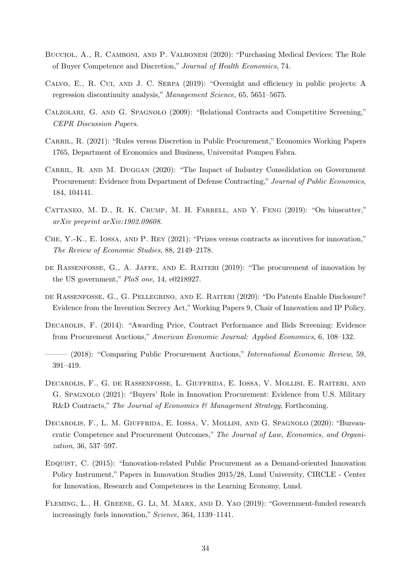- <span id="page-33-4"></span>Bucciol, A., R. Camboni, and P. Valbonesi (2020): "Purchasing Medical Devices: The Role of Buyer Competence and Discretion," Journal of Health Economics, 74.
- <span id="page-33-14"></span>Calvo, E., R. Cui, and J. C. Serpa (2019): "Oversight and efficiency in public projects: A regression discontinuity analysis," Management Science, 65, 5651–5675.
- <span id="page-33-6"></span>Calzolari, G. and G. Spagnolo (2009): "Relational Contracts and Competitive Screening," CEPR Discussion Papers.
- <span id="page-33-12"></span>CARRIL, R. (2021): "Rules versus Discretion in Public Procurement," Economics Working Papers 1765, Department of Economics and Business, Universitat Pompeu Fabra.
- <span id="page-33-10"></span>CARRIL, R. AND M. DUGGAN (2020): "The Impact of Industry Consolidation on Government Procurement: Evidence from Department of Defense Contracting," Journal of Public Economics, 184, 104141.
- <span id="page-33-13"></span>CATTANEO, M. D., R. K. CRUMP, M. H. FARRELL, AND Y. FENG (2019): "On binscatter," arXiv preprint arXiv:1902.09608.
- <span id="page-33-7"></span>Che, Y.-K., E. Iossa, and P. Rey (2021): "Prizes versus contracts as incentives for innovation," The Review of Economic Studies, 88, 2149–2178.
- <span id="page-33-1"></span>de Rassenfosse, G., A. Jaffe, and E. Raiteri (2019): "The procurement of innovation by the US government," PloS one, 14, e0218927.
- <span id="page-33-11"></span>de Rassenfosse, G., G. Pellegrino, and E. Raiteri (2020): "Do Patents Enable Disclosure? Evidence from the Invention Secrecy Act,"Working Papers 9, Chair of Innovation and IP Policy.
- <span id="page-33-8"></span>Decarolis, F. (2014): "Awarding Price, Contract Performance and Bids Screening: Evidence from Procurement Auctions," American Economic Journal: Applied Economics, 6, 108–132.
- <span id="page-33-9"></span>– (2018): "Comparing Public Procurement Auctions," *International Economic Review*, 59, 391–419.
- <span id="page-33-5"></span>Decarolis, F., G. de Rassenfosse, L. Giuffrida, E. Iossa, V. Mollisi, E. Raiteri, and G. Spagnolo (2021): "Buyers' Role in Innovation Procurement: Evidence from U.S. Military R&D Contracts," The Journal of Economics & Management Strategy, Forthcoming.
- <span id="page-33-3"></span>Decarolis, F., L. M. Giuffrida, E. Iossa, V. Mollisi, and G. Spagnolo (2020): "Bureaucratic Competence and Procurement Outcomes," The Journal of Law, Economics, and Organization, 36, 537–597.
- <span id="page-33-2"></span>Edquist, C. (2015): "Innovation-related Public Procurement as a Demand-oriented Innovation Policy Instrument," Papers in Innovation Studies 2015/28, Lund University, CIRCLE - Center for Innovation, Research and Competences in the Learning Economy, Lund.
- <span id="page-33-0"></span>Fleming, L., H. Greene, G. Li, M. Marx, and D. Yao (2019): "Government-funded research increasingly fuels innovation," Science, 364, 1139–1141.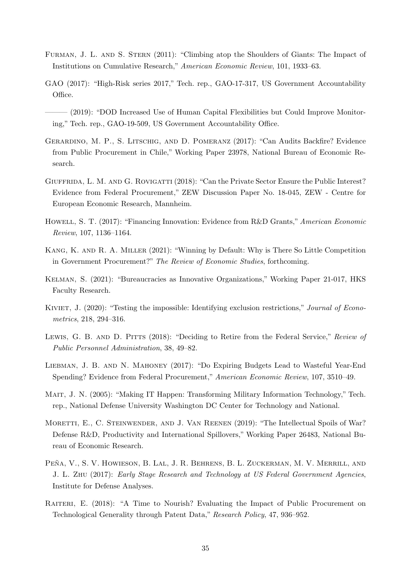- <span id="page-34-13"></span>Furman, J. L. and S. Stern (2011): "Climbing atop the Shoulders of Giants: The Impact of Institutions on Cumulative Research," American Economic Review, 101, 1933–63.
- <span id="page-34-6"></span>GAO (2017): "High-Risk series 2017," Tech. rep., GAO-17-317, US Government Accountability Office.
- <span id="page-34-8"></span>——— (2019): "DOD Increased Use of Human Capital Flexibilities but Could Improve Monitoring," Tech. rep., GAO-19-509, US Government Accountability Office.
- <span id="page-34-4"></span>Gerardino, M. P., S. Litschig, and D. Pomeranz (2017): "Can Audits Backfire? Evidence from Public Procurement in Chile," Working Paper 23978, National Bureau of Economic Research.
- <span id="page-34-5"></span>GIUFFRIDA, L. M. AND G. ROVIGATTI (2018): "Can the Private Sector Ensure the Public Interest? Evidence from Federal Procurement," ZEW Discussion Paper No. 18-045, ZEW - Centre for European Economic Research, Mannheim.
- <span id="page-34-12"></span>HOWELL, S. T. (2017): "Financing Innovation: Evidence from R&D Grants," American Economic Review, 107, 1136–1164.
- <span id="page-34-10"></span>Kang, K. and R. A. Miller (2021): "Winning by Default: Why is There So Little Competition in Government Procurement?" The Review of Economic Studies, forthcoming.
- <span id="page-34-2"></span>Kelman, S. (2021): "Bureaucracies as Innovative Organizations," Working Paper 21-017, HKS Faculty Research.
- <span id="page-34-14"></span>KIVIET, J. (2020): "Testing the impossible: Identifying exclusion restrictions," Journal of Econometrics, 218, 294–316.
- <span id="page-34-9"></span>LEWIS, G. B. AND D. PITTS (2018): "Deciding to Retire from the Federal Service," Review of Public Personnel Administration, 38, 49–82.
- <span id="page-34-3"></span>Liebman, J. B. and N. Mahoney (2017): "Do Expiring Budgets Lead to Wasteful Year-End Spending? Evidence from Federal Procurement," American Economic Review, 107, 3510–49.
- <span id="page-34-11"></span>Mait, J. N. (2005): "Making IT Happen: Transforming Military Information Technology," Tech. rep., National Defense University Washington DC Center for Technology and National.
- <span id="page-34-0"></span>MORETTI, E., C. STEINWENDER, AND J. VAN REENEN (2019): "The Intellectual Spoils of War? Defense R&D, Productivity and International Spillovers," Working Paper 26483, National Bureau of Economic Research.
- <span id="page-34-7"></span>PEÑA, V., S. V. HOWIESON, B. LAL, J. R. BEHRENS, B. L. ZUCKERMAN, M. V. MERRILL, AND J. L. Zhu (2017): Early Stage Research and Technology at US Federal Government Agencies, Institute for Defense Analyses.
- <span id="page-34-1"></span>RAITERI, E. (2018): "A Time to Nourish? Evaluating the Impact of Public Procurement on Technological Generality through Patent Data," Research Policy, 47, 936–952.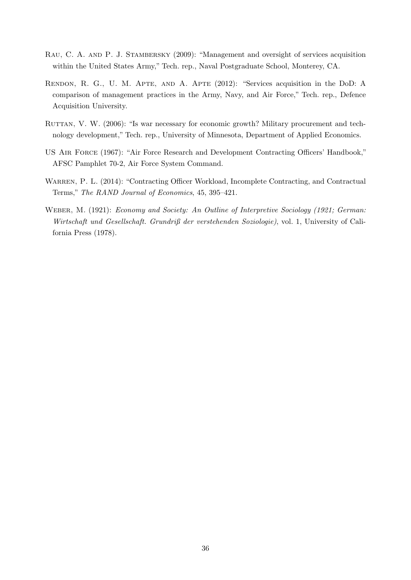- <span id="page-35-4"></span>Rau, C. A. and P. J. Stambersky (2009): "Management and oversight of services acquisition within the United States Army," Tech. rep., Naval Postgraduate School, Monterey, CA.
- <span id="page-35-1"></span>Rendon, R. G., U. M. Apte, and A. Apte (2012): "Services acquisition in the DoD: A comparison of management practices in the Army, Navy, and Air Force," Tech. rep., Defence Acquisition University.
- <span id="page-35-0"></span>RUTTAN, V. W. (2006): "Is war necessary for economic growth? Military procurement and technology development," Tech. rep., University of Minnesota, Department of Applied Economics.
- <span id="page-35-3"></span>US Air Force (1967): "Air Force Research and Development Contracting Officers' Handbook," AFSC Pamphlet 70-2, Air Force System Command.
- <span id="page-35-2"></span>WARREN, P. L. (2014): "Contracting Officer Workload, Incomplete Contracting, and Contractual Terms," The RAND Journal of Economics, 45, 395–421.
- <span id="page-35-5"></span>WEBER, M. (1921): Economy and Society: An Outline of Interpretive Sociology (1921; German: Wirtschaft und Gesellschaft. Grundriß der verstehenden Soziologie), vol. 1, University of California Press (1978).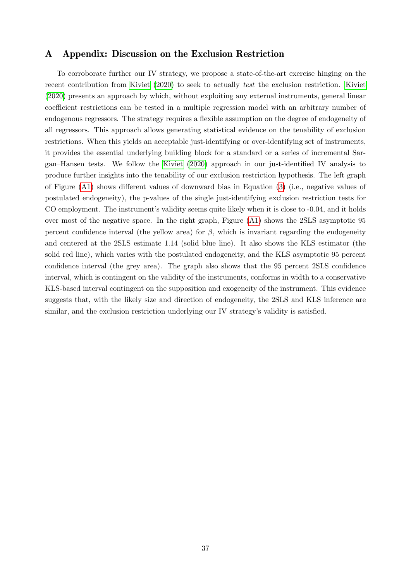## <span id="page-36-0"></span>A Appendix: Discussion on the Exclusion Restriction

To corroborate further our IV strategy, we propose a state-of-the-art exercise hinging on the recent contribution from [Kiviet](#page-34-14) [\(2020\)](#page-34-14) to seek to actually test the exclusion restriction. [Kiviet](#page-34-14) [\(2020\)](#page-34-14) presents an approach by which, without exploiting any external instruments, general linear coefficient restrictions can be tested in a multiple regression model with an arbitrary number of endogenous regressors. The strategy requires a flexible assumption on the degree of endogeneity of all regressors. This approach allows generating statistical evidence on the tenability of exclusion restrictions. When this yields an acceptable just-identifying or over-identifying set of instruments, it provides the essential underlying building block for a standard or a series of incremental Sargan–Hansen tests. We follow the [Kiviet](#page-34-14) [\(2020\)](#page-34-14) approach in our just-identified IV analysis to produce further insights into the tenability of our exclusion restriction hypothesis. The left graph of Figure [\(A1\)](#page-8-0) shows different values of downward bias in Equation [\(3\)](#page-18-4) (i.e., negative values of postulated endogeneity), the p-values of the single just-identifying exclusion restriction tests for CO employment. The instrument's validity seems quite likely when it is close to -0.04, and it holds over most of the negative space. In the right graph, Figure [\(A1\)](#page-8-0) shows the 2SLS asymptotic 95 percent confidence interval (the yellow area) for  $\beta$ , which is invariant regarding the endogeneity and centered at the 2SLS estimate 1.14 (solid blue line). It also shows the KLS estimator (the solid red line), which varies with the postulated endogeneity, and the KLS asymptotic 95 percent confidence interval (the grey area). The graph also shows that the 95 percent 2SLS confidence interval, which is contingent on the validity of the instruments, conforms in width to a conservative KLS-based interval contingent on the supposition and exogeneity of the instrument. This evidence suggests that, with the likely size and direction of endogeneity, the 2SLS and KLS inference are similar, and the exclusion restriction underlying our IV strategy's validity is satisfied.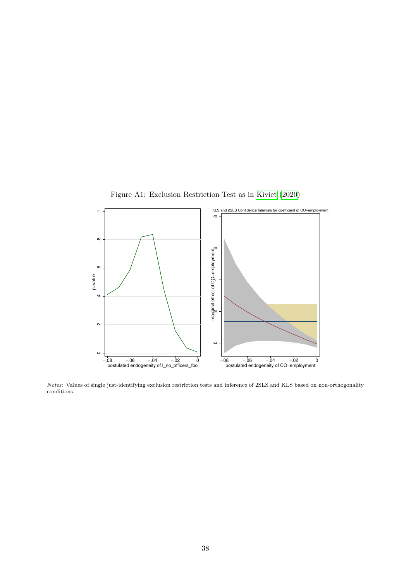

Figure A1: Exclusion Restriction Test as in [Kiviet](#page-34-14) [\(2020\)](#page-34-14)

Notes: Values of single just-identifying exclusion restriction tests and inference of 2SLS and KLS based on non-orthogonality conditions.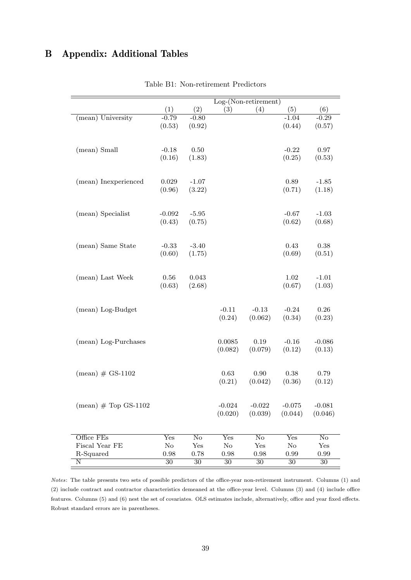# <span id="page-38-0"></span>B Appendix: Additional Tables

|                                   |                 |                        |          | $Log-(Non-retirement)$ |          |                        |
|-----------------------------------|-----------------|------------------------|----------|------------------------|----------|------------------------|
|                                   | (1)             | (2)                    | (3)      | (4)                    | (5)      | (6)                    |
| (mean) University                 | $-0.79$         | $-0.80$                |          |                        | $-1.04$  | $-0.29$                |
|                                   | (0.53)          | (0.92)                 |          |                        | (0.44)   | (0.57)                 |
|                                   |                 |                        |          |                        |          |                        |
| (mean) Small                      | $-0.18$         | 0.50                   |          |                        | $-0.22$  | 0.97                   |
|                                   | (0.16)          | (1.83)                 |          |                        | (0.25)   | (0.53)                 |
|                                   |                 |                        |          |                        |          |                        |
| (mean) Inexperienced              | 0.029           | $-1.07$                |          |                        | 0.89     | $-1.85$                |
|                                   | (0.96)          | (3.22)                 |          |                        | (0.71)   | (1.18)                 |
|                                   |                 |                        |          |                        |          |                        |
| (mean) Specialist                 | $-0.092$        | $-5.95$                |          |                        | $-0.67$  | $-1.03$                |
|                                   | (0.43)          | (0.75)                 |          |                        | (0.62)   | (0.68)                 |
|                                   |                 |                        |          |                        |          |                        |
| (mean) Same State                 | $-0.33$         | $-3.40$                |          |                        | 0.43     | 0.38                   |
|                                   | (0.60)          | (1.75)                 |          |                        | (0.69)   | (0.51)                 |
|                                   |                 |                        |          |                        |          |                        |
| (mean) Last Week                  | 0.56            | 0.043                  |          |                        | 1.02     | $-1.01$                |
|                                   | (0.63)          | (2.68)                 |          |                        | (0.67)   | (1.03)                 |
|                                   |                 |                        |          |                        |          |                        |
| (mean) Log-Budget                 |                 |                        | $-0.11$  | $-0.13$                | $-0.24$  | 0.26                   |
|                                   |                 |                        | (0.24)   | (0.062)                | (0.34)   | (0.23)                 |
|                                   |                 |                        |          |                        |          |                        |
| (mean) Log-Purchases              |                 |                        | 0.0085   | 0.19                   | $-0.16$  | $-0.086$               |
|                                   |                 |                        | (0.082)  | (0.079)                | (0.12)   | (0.13)                 |
|                                   |                 |                        |          |                        |          |                        |
| $(\text{mean}) \# \text{GS-1102}$ |                 |                        | 0.63     | 0.90                   | 0.38     | 0.79                   |
|                                   |                 |                        | (0.21)   | (0.042)                | (0.36)   | (0.12)                 |
|                                   |                 |                        |          |                        |          |                        |
| $(mean)$ # Top GS-1102            |                 |                        | $-0.024$ | $-0.022$               | $-0.075$ | $-0.081$               |
|                                   |                 |                        | (0.020)  | (0.039)                | (0.044)  | (0.046)                |
|                                   |                 |                        |          |                        |          |                        |
| Office FEs                        | Yes             | $\overline{\text{No}}$ | Yes      | No                     | Yes      | $\overline{\text{No}}$ |
| Fiscal Year FE                    | No              | Yes                    | No       | Yes                    | No       | Yes                    |
| R-Squared                         | $\rm 0.98$      | 0.78                   | 0.98     | 0.98                   | 0.99     | 0.99                   |
| N                                 | $\overline{30}$ | $30\,$                 | $30\,$   | $30\,$                 | $30\,$   | $30\,$                 |

Table B1: Non-retirement Predictors

Notes: The table presents two sets of possible predictors of the office-year non-retirement instrument. Columns (1) and (2) include contract and contractor characteristics demeaned at the office-year level. Columns (3) and (4) include office features. Columns (5) and (6) nest the set of covariates. OLS estimates include, alternatively, office and year fixed effects. Robust standard errors are in parentheses.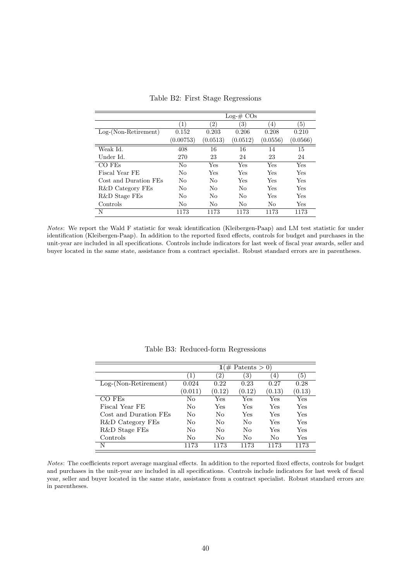|                        | $Log-# COs$    |                   |          |                  |                  |  |  |  |
|------------------------|----------------|-------------------|----------|------------------|------------------|--|--|--|
|                        | (1)            | $\left( 2\right)$ | 3)       | $\left(4\right)$ | $\left(5\right)$ |  |  |  |
| $Log-(Non-Retirement)$ | 0.152          | 0.203             | 0.206    | 0.208            | 0.210            |  |  |  |
|                        | (0.00753)      | (0.0513)          | (0.0512) | (0.0556)         | (0.0566)         |  |  |  |
| Weak Id.               | 408            | 16                | 16       | 14               | 15               |  |  |  |
| Under Id.              | 270            | 23                | 24       | 23               | 24               |  |  |  |
| CO FEs                 | No             | Yes               | Yes      | Yes              | Yes              |  |  |  |
| Fiscal Year FE         | No             | Yes               | Yes      | Yes              | Yes              |  |  |  |
| Cost and Duration FEs  | N <sub>0</sub> | No                | Yes      | Yes              | Yes              |  |  |  |
| R&D Category FEs       | No             | No                | No       | Yes              | Yes              |  |  |  |
| R&D Stage FEs          | No             | No                | No       | Yes              | Yes              |  |  |  |
| Controls               | No             | No                | No       | No               | Yes              |  |  |  |
| N                      | 1173           | 1173              | 1173     | 1173             | 1173             |  |  |  |

Table B2: First Stage Regressions

Notes: We report the Wald F statistic for weak identification (Kleibergen-Paap) and LM test statistic for under identification (Kleibergen-Paap). In addition to the reported fixed effects, controls for budget and purchases in the unit-year are included in all specifications. Controls include indicators for last week of fiscal year awards, seller and buyer located in the same state, assistance from a contract specialist. Robust standard errors are in parentheses.

|                        | $1 \times$ Patents > 0) |                   |        |                   |        |
|------------------------|-------------------------|-------------------|--------|-------------------|--------|
|                        | $\left(1\right)$        | $\left( 2\right)$ | 3)     | $\left( 4\right)$ | (5)    |
| $Log-(Non-Retirement)$ | 0.024                   | 0.22              | 0.23   | 0.27              | 0.28   |
|                        | (0.011)                 | (0.12)            | (0.12) | (0.13)            | (0.13) |
| CO FE <sub>s</sub>     | No                      | Yes               | Yes    | Yes               | Yes    |
| Fiscal Year FE         | $\rm No$                | Yes               | Yes    | Yes               | Yes    |
| Cost and Duration FEs  | No                      | No                | Yes    | Yes               | Yes    |
| R&D Category FEs       | No                      | $\rm No$          | No     | Yes               | Yes    |
| R&D Stage FEs          | No                      | No                | No     | Yes               | Yes    |
| Controls               | No                      | No                | No     | Nο                | Yes    |
| N                      | 1173                    | 1173              | 1173   | 1173              | 1173   |

Table B3: Reduced-form Regressions

Notes: The coefficients report average marginal effects. In addition to the reported fixed effects, controls for budget and purchases in the unit-year are included in all specifications. Controls include indicators for last week of fiscal year, seller and buyer located in the same state, assistance from a contract specialist. Robust standard errors are in parentheses.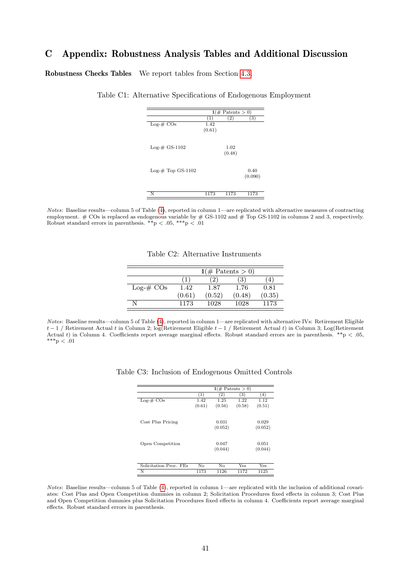## <span id="page-40-0"></span>C Appendix: Robustness Analysis Tables and Additional Discussion

Robustness Checks Tables We report tables from Section [4.3.](#page-25-0)

|                     | $1 \times$ Patents > 0) |        |         |  |  |
|---------------------|-------------------------|--------|---------|--|--|
|                     | (1)                     | (2)    | (3)     |  |  |
| $Log-# COs$         | 1.42                    |        |         |  |  |
|                     | (0.61)                  |        |         |  |  |
|                     |                         |        |         |  |  |
| $Log-# GS-1102$     |                         | 1.02   |         |  |  |
|                     |                         | (0.48) |         |  |  |
|                     |                         |        |         |  |  |
|                     |                         |        |         |  |  |
| $Log-# Top GS-1102$ |                         |        | 0.40    |  |  |
|                     |                         |        | (0.090) |  |  |
|                     |                         |        |         |  |  |
| N                   | 1173                    | 1173   | 1173    |  |  |

Table C1: Alternative Specifications of Endogenous Employment

Notes: Baseline results—column 5 of Table [\(4\)](#page-23-0), reported in column 1—are replicated with alternative measures of contracting employment.  $# \text{COs}$  is replaced as endogenous variable by  $# \text{GS-1102}$  and  $# \text{Top} \text{GS-1102}$  in columns 2 and 3, respectively. Robust standard errors in parenthesis.  $**p < .05, **p < .01$ 

|  |  | Table C2: Alternative Instruments |
|--|--|-----------------------------------|
|--|--|-----------------------------------|

|             | $1(\text{\# Patterns} > 0)$ |        |        |        |  |
|-------------|-----------------------------|--------|--------|--------|--|
|             |                             |        | 3      |        |  |
| $Log-# COs$ | 1.42                        | 1.87   | 1.76   | 0.81   |  |
|             | (0.61)                      | (0.52) | (0.48) | (0.35) |  |
|             | 1173                        | 1028   | 1028   | 1173   |  |
|             |                             |        |        |        |  |

Notes: Baseline results—column 5 of Table [\(4\)](#page-23-0), reported in column 1—are replicated with alternative IVs: Retirement Eligible t − 1 / Retirement Actual t in Column 2; log(Retirement Eligible t − 1 / Retirement Actual t) in Column 3; Log(Retirement Actual t) in Column 4. Coefficients report average marginal effects. Robust standard errors are in parenthesis. \*\*p < .05,  $^{***}\rm{p}$   $<$  .01

|                        |        |         | $1 \times$ Patents > 0) |          |
|------------------------|--------|---------|-------------------------|----------|
|                        | (1)    | 2)      | 3)                      | $^{(4)}$ |
| $Log-# COs$            | 1.42   | 1.25    | 1.22                    | 1.12     |
|                        | (0.61) | (0.56)  | (0.58)                  | (0.51)   |
|                        |        |         |                         |          |
| Cost Plus Pricing      |        | 0.031   |                         | 0.029    |
|                        |        | (0.052) |                         | (0.052)  |
|                        |        |         |                         |          |
| Open Competition       |        | 0.047   |                         | 0.051    |
|                        |        | (0.044) |                         | (0.044)  |
|                        |        |         |                         |          |
| Solicitation Proc. FEs | No     | No      | Yes                     | Yes      |
| N                      | 1173   | 1126    | 1172                    | 1125     |

Table C3: Inclusion of Endogenous Omitted Controls

Notes: Baseline results—column 5 of Table [\(4\)](#page-23-0), reported in column 1—are replicated with the inclusion of additional covariates: Cost Plus and Open Competition dummies in column 2; Solicitation Procedures fixed effects in column 3; Cost Plus and Open Competition dummies plus Solicitation Procedures fixed effects in column 4. Coefficients report average marginal effects. Robust standard errors in parenthesis.